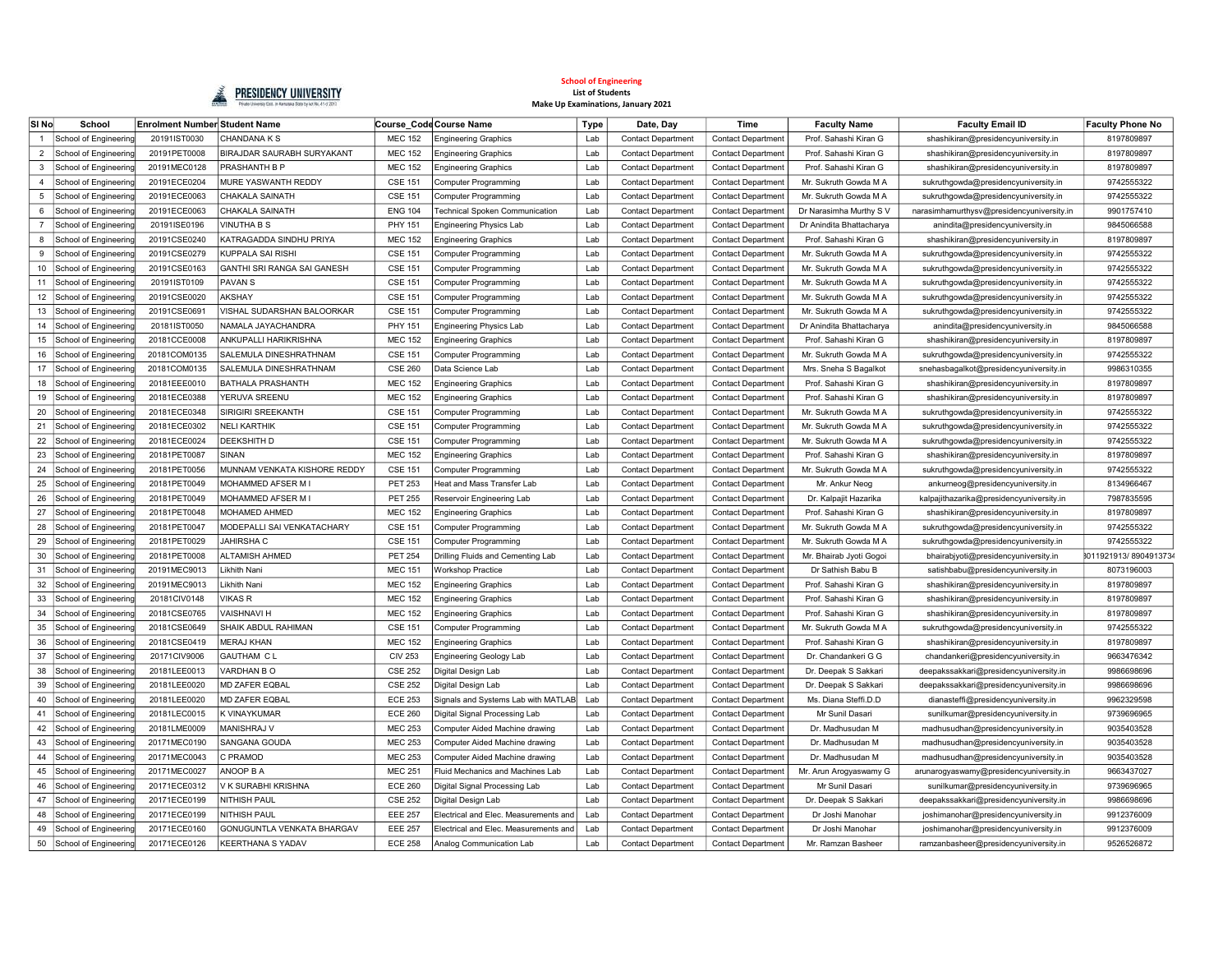

| SI No          | School                   | <b>Enrolment Number Student Name</b> |                               |                | Course_Code Course Name               | <b>Type</b> | Date, Day                 | Time                      | <b>Faculty Name</b>      | <b>Faculty Email ID</b>                   | <b>Faculty Phone No</b> |
|----------------|--------------------------|--------------------------------------|-------------------------------|----------------|---------------------------------------|-------------|---------------------------|---------------------------|--------------------------|-------------------------------------------|-------------------------|
|                | School of Engineering    | 20191IST0030                         | <b>CHANDANA K S</b>           | <b>MEC 152</b> | <b>Engineering Graphics</b>           | Lab         | <b>Contact Department</b> | <b>Contact Department</b> | Prof. Sahashi Kiran G    | shashikiran@presidencyuniversity.in       | 8197809897              |
| $\overline{2}$ | School of Engineering    | 20191PET0008                         | BIRAJDAR SAURABH SURYAKANT    | <b>MEC 152</b> | <b>Engineering Graphics</b>           | Lab         | <b>Contact Department</b> | <b>Contact Department</b> | Prof. Sahashi Kiran G    | shashikiran@presidencyuniversity.in       | 8197809897              |
| 3              | School of Engineering    | 20191MEC0128                         | PRASHANTH B P                 | <b>MEC 152</b> | <b>Engineering Graphics</b>           | Lab         | <b>Contact Department</b> | <b>Contact Department</b> | Prof. Sahashi Kiran G    | shashikiran@presidencyuniversity.in       | 8197809897              |
| $\overline{4}$ | School of Engineering    | 20191ECE0204                         | MURE YASWANTH REDDY           | <b>CSE 151</b> | Computer Programming                  | Lab         | <b>Contact Department</b> | <b>Contact Department</b> | Mr. Sukruth Gowda M A    | sukruthgowda@presidencyuniversity.in      | 9742555322              |
| 5              | School of Engineering    | 20191ECE0063                         | <b>CHAKALA SAINATH</b>        | <b>CSE 151</b> | Computer Programming                  | Lab         | <b>Contact Department</b> | <b>Contact Department</b> | Mr. Sukruth Gowda M A    | sukruthgowda@presidencyuniversity.in      | 9742555322              |
| 6              | School of Engineering    | 20191ECE0063                         | CHAKALA SAINATH               | <b>ENG 104</b> | <b>Technical Spoken Communication</b> | Lab         | <b>Contact Department</b> | <b>Contact Department</b> | Dr Narasimha Murthy S V  | narasimhamurthysv@presidencyuniversity.in | 9901757410              |
| $\overline{7}$ | School of Engineering    | 20191ISE0196                         | VINUTHA B S                   | PHY 151        | Engineering Physics Lab               | Lab         | <b>Contact Department</b> | <b>Contact Department</b> | Dr Anindita Bhattacharya | anindita@presidencyuniversity.in          | 9845066588              |
|                | School of Engineering    | 20191CSE0240                         | KATRAGADDA SINDHU PRIYA       | <b>MEC 152</b> | <b>Engineering Graphics</b>           | Lab         | <b>Contact Department</b> | Contact Department        | Prof. Sahashi Kiran G    | shashikiran@presidencyuniversity.in       | 8197809897              |
| 9              | School of Engineering    | 20191CSE0279                         | KUPPALA SAI RISHI             | <b>CSE 151</b> | Computer Programming                  | Lab         | <b>Contact Department</b> | Contact Department        | Mr. Sukruth Gowda M A    | sukruthgowda@presidencyuniversity.in      | 9742555322              |
| 10             | School of Engineering    | 20191CSE0163                         | GANTHI SRI RANGA SAI GANESH   | <b>CSE 151</b> | Computer Programming                  | Lab         | <b>Contact Department</b> | Contact Departmen         | Mr. Sukruth Gowda M A    | sukruthgowda@presidencyuniversity.in      | 9742555322              |
| 11             | School of Engineering    | 20191IST0109                         | <b>PAVANS</b>                 | <b>CSE 151</b> | <b>Computer Programming</b>           | Lab         | <b>Contact Department</b> | <b>Contact Departmen</b>  | Mr. Sukruth Gowda M A    | sukruthgowda@presidencyuniversity.in      | 9742555322              |
| 12             | School of Engineering    | 20191CSE0020                         | <b>AKSHAY</b>                 | <b>CSE 151</b> | <b>Computer Programming</b>           | Lab         | <b>Contact Department</b> | Contact Department        | Mr. Sukruth Gowda M A    | sukruthgowda@presidencyuniversity.in      | 9742555322              |
| 13             | School of Engineering    | 20191CSE0691                         | VISHAL SUDARSHAN BALOORKAR    | <b>CSE 151</b> | <b>Computer Programming</b>           | Lab         | <b>Contact Department</b> | Contact Department        | Mr. Sukruth Gowda M A    | sukruthgowda@presidencyuniversity.in      | 9742555322              |
| 14             | School of Engineering    | 20181IST0050                         | NAMALA JAYACHANDRA            | PHY 151        | <b>Engineering Physics Lab</b>        | Lab         | <b>Contact Department</b> | <b>Contact Department</b> | Dr Anindita Bhattacharya | anindita@presidencyuniversity.in          | 9845066588              |
| 15             | School of Engineering    | 20181CCE0008                         | ANKUPALLI HARIKRISHNA         | <b>MEC 152</b> | <b>Engineering Graphics</b>           | Lab         | <b>Contact Department</b> | Contact Department        | Prof. Sahashi Kiran G    | shashikiran@presidencyuniversity.in       | 8197809897              |
| 16             | School of Engineering    | 20181COM0135                         | SALEMULA DINESHRATHNAM        | <b>CSE 151</b> | Computer Programming                  | Lab         | <b>Contact Department</b> | <b>Contact Department</b> | Mr. Sukruth Gowda M A    | sukruthgowda@presidencyuniversity.in      | 9742555322              |
| 17             | School of Engineering    | 20181COM0135                         | <b>SALEMULA DINESHRATHNAM</b> | <b>CSE 260</b> | Data Science Lab                      | Lab         | <b>Contact Department</b> | <b>Contact Department</b> | Mrs. Sneha S Bagalkot    | snehasbagalkot@presidencyuniversity.in    | 9986310355              |
| 18             | School of Engineering    | 20181EEE0010                         | <b>BATHALA PRASHANTH</b>      | <b>MEC 152</b> | <b>Engineering Graphics</b>           | Lab         | <b>Contact Department</b> | <b>Contact Department</b> | Prof. Sahashi Kiran G    | shashikiran@presidencyuniversity.in       | 8197809897              |
| 19             | School of Engineering    | 20181ECE0388                         | YERUVA SREENU                 | <b>MEC 152</b> | <b>Engineering Graphics</b>           | Lab         | <b>Contact Department</b> | <b>Contact Department</b> | Prof. Sahashi Kiran G    | shashikiran@presidencyuniversity.in       | 8197809897              |
| 20             | School of Engineering    | 20181ECE0348                         | SIRIGIRI SREEKANTH            | <b>CSE 151</b> | Computer Programming                  | Lab         | <b>Contact Department</b> | Contact Department        | Mr. Sukruth Gowda M A    | sukruthgowda@presidencyuniversity.in      | 9742555322              |
| 21             | School of Engineering    | 20181ECE0302                         | NELI KARTHIK                  | <b>CSE 151</b> | Computer Programming                  | Lab         | <b>Contact Department</b> | Contact Department        | Mr. Sukruth Gowda M A    | sukruthgowda@presidencyuniversity.in      | 9742555322              |
| 22             | School of Engineering    | 20181ECE0024                         | DEEKSHITH D                   | <b>CSE 151</b> | <b>Computer Programming</b>           | Lab         | <b>Contact Department</b> | <b>Contact Departmen</b>  | Mr. Sukruth Gowda M A    | sukruthgowda@presidencyuniversity.in      | 9742555322              |
| 23             | School of Engineering    | 20181PET0087                         | SINAN                         | <b>MEC 152</b> | <b>Engineering Graphics</b>           | Lab         | <b>Contact Department</b> | Contact Department        | Prof. Sahashi Kiran G    | shashikiran@presidencyuniversity.in       | 8197809897              |
| 24             | School of Engineering    | 20181PET0056                         | MUNNAM VENKATA KISHORE REDDY  | <b>CSE 151</b> | Computer Programming                  | Lab         | <b>Contact Department</b> | Contact Department        | Mr. Sukruth Gowda M A    | sukruthgowda@presidencyuniversity.in      | 9742555322              |
| 25             | School of Engineering    | 20181PET0049                         | MOHAMMED AFSER M I            | <b>PET 253</b> | Heat and Mass Transfer Lab            | Lab         | <b>Contact Department</b> | <b>Contact Department</b> | Mr. Ankur Neog           | ankurneog@presidencyuniversity.in         | 8134966467              |
| 26             | School of Engineering    | 20181PET0049                         | MOHAMMED AFSER M I            | <b>PET 255</b> | Reservoir Engineering Lab             | Lab         | <b>Contact Department</b> | <b>Contact Department</b> | Dr. Kalpajit Hazarika    | kalpajithazarika@presidencyuniversity.in  | 7987835595              |
| 27             | School of Engineering    | 20181PET0048                         | <b>MOHAMED AHMED</b>          | <b>MEC 152</b> | <b>Engineering Graphics</b>           | Lab         | <b>Contact Department</b> | <b>Contact Department</b> | Prof. Sahashi Kiran G    | shashikiran@presidencyuniversity.in       | 8197809897              |
| 28             | School of Engineering    | 20181PET0047                         | MODEPALLI SAI VENKATACHARY    | <b>CSE 151</b> | Computer Programming                  | Lab         | <b>Contact Department</b> | <b>Contact Department</b> | Mr. Sukruth Gowda M A    | sukruthgowda@presidencyuniversity.in      | 9742555322              |
| 29             | School of Engineering    | 20181PET0029                         | <b>JAHIRSHA C</b>             | <b>CSE 151</b> | <b>Computer Programming</b>           | Lab         | <b>Contact Department</b> | <b>Contact Department</b> | Mr. Sukruth Gowda M A    | sukruthgowda@presidencyuniversity.in      | 9742555322              |
| 30             | School of Engineering    | 20181PET0008                         | <b>ALTAMISH AHMED</b>         | <b>PET 254</b> | Drilling Fluids and Cementing Lab     | Lab         | <b>Contact Department</b> | <b>Contact Department</b> | Mr. Bhairab Jyoti Gogoi  | bhairabjyoti@presidencyuniversity.in      | 8011921913/8904913734   |
| 31             | School of Engineering    | 20191MEC9013                         | Likhith Nani                  | <b>MEC 151</b> | Workshop Practice                     | Lab         | <b>Contact Department</b> | <b>Contact Department</b> | Dr Sathish Babu B        | satishbabu@presidencyuniversity.in        | 8073196003              |
| 32             | School of Engineering    | 20191MEC9013                         | Likhith Nani                  | <b>MEC 152</b> | <b>Engineering Graphics</b>           | Lab         | <b>Contact Department</b> | <b>Contact Department</b> | Prof. Sahashi Kiran G    | shashikiran@presidencyuniversity.in       | 8197809897              |
| 33             | School of Engineering    | 20181CIV0148                         | VIKAS R                       | <b>MEC 152</b> | <b>Engineering Graphics</b>           | Lab         | <b>Contact Department</b> | Contact Department        | Prof. Sahashi Kiran G    | shashikiran@presidencyuniversity.in       | 8197809897              |
| 34             | School of Engineering    | 20181CSE0765                         | VAISHNAVI H                   | <b>MEC 152</b> | <b>Engineering Graphics</b>           | Lab         | <b>Contact Department</b> | <b>Contact Department</b> | Prof. Sahashi Kiran G    | shashikiran@presidencyuniversity.in       | 8197809897              |
| 35             | School of Engineering    | 20181CSE0649                         | SHAIK ABDUL RAHIMAN           | <b>CSE 151</b> | Computer Programming                  | Lab         | <b>Contact Department</b> | Contact Department        | Mr. Sukruth Gowda M A    | sukruthgowda@presidencyuniversity.in      | 9742555322              |
| 36             | School of Engineering    | 20181CSE0419                         | <b>MERAJ KHAN</b>             | <b>MEC 152</b> | <b>Engineering Graphics</b>           | Lab         | <b>Contact Department</b> | Contact Department        | Prof. Sahashi Kiran G    | shashikiran@presidencyuniversity.in       | 8197809897              |
| 37             | School of Engineering    | 20171CIV9006                         | GAUTHAM C L                   | <b>CIV 253</b> | Engineering Geology Lab               | Lab         | <b>Contact Department</b> | Contact Department        | Dr. Chandankeri G G      | chandankeri@presidencyuniversity.in       | 9663476342              |
| 38             | School of Engineering    | 20181LEE0013                         | VARDHAN BO                    | <b>CSE 252</b> | Digital Design Lab                    | Lab         | <b>Contact Department</b> | <b>Contact Department</b> | Dr. Deepak S Sakkari     | deepakssakkari@presidencyuniversity.in    | 9986698696              |
| 39             | School of Engineering    | 20181LEE0020                         | <b>MD ZAFER EQBAL</b>         | <b>CSE 252</b> | Digital Design Lab                    | Lab         | <b>Contact Department</b> | Contact Department        | Dr. Deepak S Sakkari     | deepakssakkari@presidencyuniversity.in    | 9986698696              |
| 40             | School of Engineering    | 20181LEE0020                         | <b>MD ZAFER EQBAL</b>         | <b>ECE 253</b> | Signals and Systems Lab with MATLAB   | Lab         | <b>Contact Department</b> | <b>Contact Department</b> | Ms. Diana Steffi.D.D     | dianasteffi@presidencyuniversity.in       | 9962329598              |
|                | 41 School of Engineering | 20181LEC0015                         | <b>K VINAYKUMAR</b>           | <b>ECE 260</b> | Digital Signal Processing Lab         | Lab         | <b>Contact Department</b> | <b>Contact Department</b> | Mr Sunil Dasari          | sunilkumar@presidencyuniversity.in        | 9739696965              |
| 42             | School of Engineering    | 20181LME0009                         | MANISHRAJ V                   | <b>MEC 253</b> | Computer Aided Machine drawing        | Lab         | <b>Contact Department</b> | <b>Contact Department</b> | Dr. Madhusudan M         | madhusudhan@presidencyuniversity.in       | 9035403528              |
| 43             | School of Engineering    | 20171MEC0190                         | SANGANA GOUDA                 | <b>MEC 253</b> | Computer Aided Machine drawing        | Lab         | <b>Contact Department</b> | <b>Contact Department</b> | Dr. Madhusudan M         | madhusudhan@presidencyuniversity.in       | 9035403528              |
| 44             | School of Engineering    | 20171MEC0043                         | C PRAMOD                      | <b>MEC 253</b> | Computer Aided Machine drawing        | Lab         | <b>Contact Department</b> | <b>Contact Department</b> | Dr. Madhusudan M         | madhusudhan@presidencyuniversity.in       | 9035403528              |
| 45             | School of Engineering    | 20171MEC0027                         | ANOOP B A                     | <b>MEC 251</b> | Fluid Mechanics and Machines Lab      | Lab         | <b>Contact Department</b> | <b>Contact Department</b> | Mr. Arun Arogyaswamy G   | arunarogyaswamy@presidencyuniversity.in   | 9663437027              |
| 46             | School of Engineering    | 20171ECE0312                         | V K SURABHI KRISHNA           | <b>ECE 260</b> | Digital Signal Processing Lab         | Lab         | <b>Contact Department</b> | Contact Department        | Mr Sunil Dasari          | sunilkumar@presidencyuniversity.in        | 9739696965              |
| 47             | School of Engineering    | 20171ECE0199                         | <b>NITHISH PAUL</b>           | <b>CSE 252</b> | Digital Design Lab                    | Lab         | <b>Contact Department</b> | Contact Department        | Dr. Deepak S Sakkari     | deepakssakkari@presidencyuniversity.in    | 9986698696              |
| 48             | School of Engineering    | 20171ECE0199                         | NITHISH PAUL                  | <b>EEE 257</b> | Electrical and Elec. Measurements and | Lab         | <b>Contact Department</b> | <b>Contact Department</b> | Dr Joshi Manohar         | joshimanohar@presidencyuniversity.in      | 9912376009              |
| 49             | School of Engineering    | 20171ECE0160                         | GONUGUNTLA VENKATA BHARGAV    | <b>EEE 257</b> | Electrical and Elec. Measurements and | Lab         | <b>Contact Department</b> | <b>Contact Department</b> | Dr Joshi Manohar         | joshimanohar@presidencyuniversity.in      | 9912376009              |
| 50             | School of Engineering    | 20171ECE0126                         | KEERTHANA S YADAV             | <b>ECE 258</b> | Analog Communication Lab              | Lab         | <b>Contact Department</b> | <b>Contact Department</b> | Mr. Ramzan Basheer       | ramzanbasheer@presidencyuniversity.in     | 9526526872              |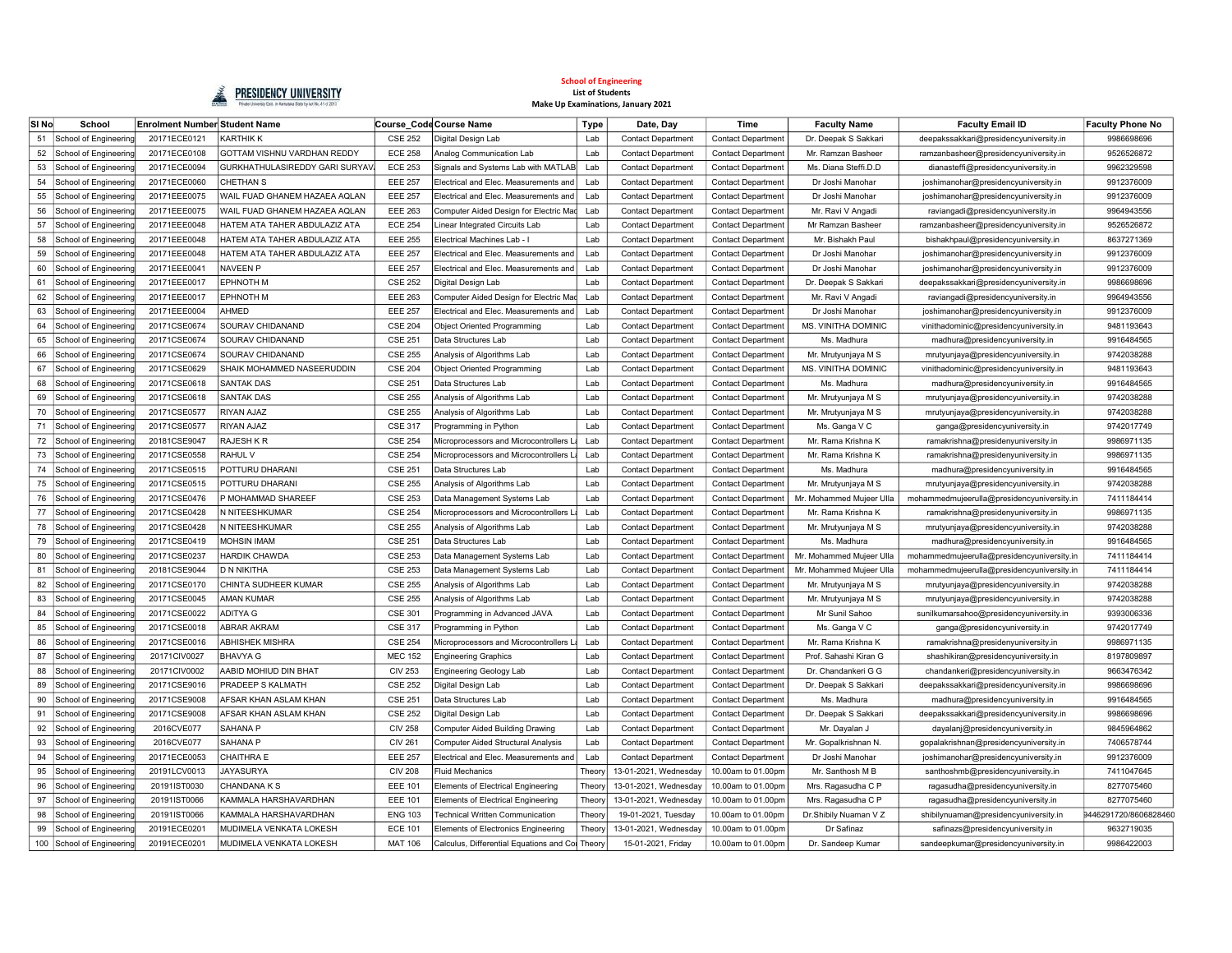

| <b>SI No</b> | School                    | Enrolment Number Student Name |                                |                | Course Code Course Name                         | <b>Type</b> | Date, Day                 | Time                      | <b>Faculty Name</b>      | <b>Faculty Email ID</b>                    | <b>Faculty Phone No</b> |
|--------------|---------------------------|-------------------------------|--------------------------------|----------------|-------------------------------------------------|-------------|---------------------------|---------------------------|--------------------------|--------------------------------------------|-------------------------|
| 51           | School of Engineering     | 20171ECE0121                  | KARTHIK K                      | <b>CSE 252</b> | Digital Design Lab                              | Lab         | <b>Contact Department</b> | <b>Contact Departmen</b>  | Dr. Deepak S Sakkari     | deepakssakkari@presidencyuniversity.in     | 9986698696              |
| 52           | School of Engineering     | 20171ECE0108                  | GOTTAM VISHNU VARDHAN REDDY    | <b>ECE 258</b> | Analog Communication Lab                        | Lab         | <b>Contact Department</b> | Contact Department        | Mr. Ramzan Basheer       | ramzanbasheer@presidencyuniversity.in      | 9526526872              |
| 53           | School of Engineering     | 20171ECE0094                  | GURKHATHULASIREDDY GARI SURYAV | <b>ECE 253</b> | Signals and Systems Lab with MATLAB             | Lab         | <b>Contact Department</b> | <b>Contact Department</b> | Ms. Diana Steffi.D.D     | dianasteffi@presidencyuniversity.in        | 9962329598              |
| 54           | School of Engineering     | 20171ECE0060                  | CHETHAN S                      | <b>EEE 257</b> | Electrical and Elec. Measurements and           | Lab         | <b>Contact Department</b> | <b>Contact Department</b> | Dr Joshi Manohar         | joshimanohar@presidencyuniversity.in       | 9912376009              |
| 55           | School of Engineering     | 20171EEE0075                  | WAIL FUAD GHANEM HAZAEA AQLAN  | <b>EEE 257</b> | Electrical and Elec. Measurements and           | Lab         | <b>Contact Department</b> | <b>Contact Department</b> | Dr Joshi Manohar         | joshimanohar@presidencyuniversity.in       | 9912376009              |
| 56           | School of Engineering     | 20171EEE0075                  | WAIL FUAD GHANEM HAZAEA AQLAN  | <b>EEE 263</b> | Computer Aided Design for Electric Mad          | Lab         | <b>Contact Department</b> | <b>Contact Department</b> | Mr. Ravi V Angadi        | raviangadi@presidencyuniversity.in         | 9964943556              |
| 57           | School of Engineering     | 20171EEE0048                  | HATEM ATA TAHER ABDULAZIZ ATA  | <b>ECE 254</b> | Linear Integrated Circuits Lab                  | Lab         | <b>Contact Department</b> | Contact Department        | Mr Ramzan Bashee         | ramzanbasheer@presidencyuniversity.in      | 9526526872              |
| 58           | School of Engineering     | 20171EEE0048                  | HATEM ATA TAHER ABDULAZIZ ATA  | <b>EEE 255</b> | Electrical Machines Lab - I                     | Lab         | <b>Contact Department</b> | <b>Contact Departmen</b>  | Mr. Bishakh Paul         | bishakhpaul@presidencyuniversity.in        | 8637271369              |
| 59           | School of Engineering     | 20171EEE0048                  | HATEM ATA TAHER ABDULAZIZ ATA  | <b>EEE 257</b> | Electrical and Elec. Measurements and           | Lab         | <b>Contact Department</b> | Contact Department        | Dr Joshi Manohar         | joshimanohar@presidencyuniversity.in       | 9912376009              |
| 60           | School of Engineering     | 20171EEE0041                  | <b>NAVEEN P</b>                | <b>EEE 257</b> | Electrical and Elec. Measurements and           | Lab         | <b>Contact Department</b> | Contact Department        | Dr Joshi Manohar         | joshimanohar@presidencyuniversity.in       | 9912376009              |
| 61           | School of Engineering     | 20171EEE0017                  | <b>EPHNOTH M</b>               | <b>CSE 252</b> | Digital Design Lab                              | Lab         | <b>Contact Department</b> | Contact Department        | Dr. Deepak S Sakkari     | deepakssakkari@presidencyuniversity.in     | 9986698696              |
| 62           | School of Engineering     | 20171EEE0017                  | <b>EPHNOTH M</b>               | <b>EEE 263</b> | Computer Aided Design for Electric Mad          | Lab         | <b>Contact Department</b> | <b>Contact Department</b> | Mr. Ravi V Angadi        | raviangadi@presidencyuniversity.in         | 9964943556              |
| 63           | School of Engineering     | 20171EEE0004                  | AHMED                          | <b>EEE 257</b> | Electrical and Elec. Measurements and           | Lab         | <b>Contact Department</b> | <b>Contact Department</b> | Dr Joshi Manohar         | joshimanohar@presidencyuniversity.in       | 9912376009              |
| 64           | School of Engineering     | 20171CSE0674                  | SOURAV CHIDANAND               | <b>CSE 204</b> | <b>Object Oriented Programming</b>              | Lab         | <b>Contact Department</b> | <b>Contact Department</b> | MS. VINITHA DOMINIC      | vinithadominic@presidencyuniversity.in     | 9481193643              |
| 65           | School of Engineering     | 20171CSE0674                  | SOURAV CHIDANAND               | <b>CSE 251</b> | Data Structures Lab                             | Lab         | <b>Contact Department</b> | Contact Department        | Ms. Madhura              | madhura@presidencyuniversity.in            | 9916484565              |
| 66           | School of Engineering     | 20171CSE0674                  | SOURAV CHIDANAND               | <b>CSE 255</b> | Analysis of Algorithms Lab                      | Lab         | <b>Contact Department</b> | <b>Contact Department</b> | Mr. Mrutyunjaya M S      | mrutyunjaya@presidencyuniversity.in        | 9742038288              |
| 67           | School of Engineering     | 20171CSE0629                  | SHAIK MOHAMMED NASEERUDDIN     | <b>CSE 204</b> | Object Oriented Programming                     | Lab         | <b>Contact Department</b> | <b>Contact Department</b> | MS. VINITHA DOMINIC      | vinithadominic@presidencyuniversity.in     | 9481193643              |
| 68           | School of Engineering     | 20171CSE0618                  | <b>SANTAK DAS</b>              | <b>CSE 251</b> | Data Structures Lab                             | Lab         | <b>Contact Department</b> | <b>Contact Department</b> | Ms. Madhura              | madhura@presidencyuniversity.in            | 9916484565              |
| 69           | School of Engineering     | 20171CSE0618                  | <b>SANTAK DAS</b>              | <b>CSE 255</b> | Analysis of Algorithms Lab                      | Lab         | <b>Contact Department</b> | Contact Departmen         | Mr. Mrutyunjaya M S      | mrutyunjaya@presidencyuniversity.in        | 9742038288              |
| 70           | School of Engineering     | 20171CSE0577                  | RIYAN AJAZ                     | <b>CSE 255</b> | Analysis of Algorithms Lab                      | Lab         | <b>Contact Department</b> | <b>Contact Departmen</b>  | Mr. Mrutyunjaya M S      | mrutyunjaya@presidencyuniversity.in        | 9742038288              |
| 71           | School of Engineering     | 20171CSE0577                  | RIYAN AJAZ                     | <b>CSE 317</b> | Programming in Python                           | Lab         | <b>Contact Department</b> | <b>Contact Departmen</b>  | Ms. Ganga V C            | ganga@presidencyuniversity.in              | 9742017749              |
| 72           | School of Engineering     | 20181CSE9047                  | RAJESH K R                     | <b>CSE 254</b> | Microprocessors and Microcontrollers            | Lab         | <b>Contact Department</b> | <b>Contact Department</b> | Mr. Rama Krishna K       | ramakrishna@presidenyuniversity.in         | 9986971135              |
| 73           | School of Engineering     | 20171CSE0558                  | RAHUL V                        | <b>CSE 254</b> | Microprocessors and Microcontrollers I          | Lab         | <b>Contact Department</b> | <b>Contact Department</b> | Mr. Rama Krishna K       | ramakrishna@presidenyuniversity.in         | 9986971135              |
| 74           | School of Engineering     | 20171CSE0515                  | POTTURU DHARANI                | <b>CSE 251</b> | Data Structures Lab                             | Lab         | <b>Contact Department</b> | <b>Contact Department</b> | Ms. Madhura              | madhura@presidencyuniversity.in            | 9916484565              |
| 75           | School of Engineering     | 20171CSE0515                  | POTTURU DHARANI                | <b>CSE 255</b> | Analysis of Algorithms Lab                      | Lab         | <b>Contact Department</b> | <b>Contact Department</b> | Mr. Mrutyunjaya M S      | mrutyunjaya@presidencyuniversity.in        | 9742038288              |
| 76           | School of Engineering     | 20171CSE0476                  | P MOHAMMAD SHAREEF             | <b>CSE 253</b> | Data Management Systems Lab                     | Lab         | <b>Contact Department</b> | <b>Contact Department</b> | Mr. Mohammed Mujeer Ulla | mohammedmujeerulla@presidencyuniversity.in | 7411184414              |
| 77           | School of Engineering     | 20171CSE0428                  | N NITEESHKUMAR                 | <b>CSE 254</b> | Microprocessors and Microcontrollers La         | Lab         | <b>Contact Department</b> | <b>Contact Department</b> | Mr. Rama Krishna K       | ramakrishna@presidenyuniversity.in         | 9986971135              |
| 78           | School of Engineering     | 20171CSE0428                  | N NITEESHKUMAR                 | <b>CSE 255</b> | Analysis of Algorithms Lab                      | Lab         | <b>Contact Department</b> | <b>Contact Department</b> | Mr. Mrutyunjaya M S      | mrutyunjaya@presidencyuniversity.in        | 9742038288              |
| 79           | School of Engineering     | 20171CSE0419                  | <b>MOHSIN IMAM</b>             | <b>CSE 251</b> | Data Structures Lab                             | Lab         | <b>Contact Department</b> | <b>Contact Department</b> | Ms. Madhura              | madhura@presidencyuniversity.in            | 9916484565              |
| 80           | School of Engineering     | 20171CSE0237                  | <b>HARDIK CHAWDA</b>           | <b>CSE 253</b> | Data Management Systems Lab                     | Lab         | <b>Contact Department</b> | Contact Department        | Mr. Mohammed Mujeer Ulla | mohammedmujeerulla@presidencyuniversity.in | 7411184414              |
| 81           | School of Engineering     | 20181CSE9044                  | D N NIKITHA                    | <b>CSE 253</b> | Data Management Systems Lab                     | Lab         | <b>Contact Department</b> | <b>Contact Departmen</b>  | Mr. Mohammed Mujeer Ulla | mohammedmujeerulla@presidencyuniversity.in | 7411184414              |
| 82           | School of Engineering     | 20171CSE0170                  | CHINTA SUDHEER KUMAR           | <b>CSE 255</b> | Analysis of Algorithms Lab                      | Lab         | <b>Contact Department</b> | <b>Contact Departmen</b>  | Mr. Mrutyunjaya M S      | mrutyunjaya@presidencyuniversity.in        | 9742038288              |
| 83           | School of Engineering     | 20171CSE0045                  | AMAN KUMAR                     | <b>CSE 255</b> | Analysis of Algorithms Lab                      | Lab         | <b>Contact Department</b> | Contact Department        | Mr. Mrutyunjaya M S      | mrutyunjaya@presidencyuniversity.in        | 9742038288              |
| 84           | School of Engineering     | 20171CSE0022                  | ADITYA G                       | <b>CSE 301</b> | Programming in Advanced JAVA                    | Lab         | <b>Contact Department</b> | Contact Department        | Mr Sunil Sahoo           | sunilkumarsahoo@presidencyuniversity.in    | 9393006336              |
| 85           | School of Engineering     | 20171CSE0018                  | ABRAR AKRAM                    | <b>CSE 317</b> | Programming in Python                           | Lab         | <b>Contact Department</b> | <b>Contact Department</b> | Ms. Ganga V C            | ganga@presidencyuniversity.in              | 9742017749              |
| 86           | School of Engineering     | 20171CSE0016                  | <b>ABHISHEK MISHRA</b>         | <b>CSE 254</b> | Microprocessors and Microcontrollers La         | Lab         | <b>Contact Department</b> | <b>Contact Department</b> | Mr. Rama Krishna K       | ramakrishna@presidenyuniversity.in         | 9986971135              |
| 87           | School of Engineering     | 20171CIV0027                  | BHAVYA G                       | <b>MEC 152</b> | <b>Engineering Graphics</b>                     | Lab         | <b>Contact Department</b> | Contact Department        | Prof. Sahashi Kiran G    | shashikiran@presidencyuniversity.in        | 8197809897              |
| 88           | School of Engineering     | 20171CIV0002                  | AABID MOHIUD DIN BHAT          | <b>CIV 253</b> | <b>Engineering Geology Lab</b>                  | Lab         | <b>Contact Department</b> | <b>Contact Department</b> | Dr. Chandankeri G G      | chandankeri@presidencyuniversity.in        | 9663476342              |
| 89           | School of Engineering     | 20171CSE9016                  | PRADEEP S KALMATH              | <b>CSE 252</b> | Digital Design Lab                              | Lab         | <b>Contact Department</b> | <b>Contact Department</b> | Dr. Deepak S Sakkari     | deepakssakkari@presidencyuniversity.in     | 9986698696              |
| 90           | School of Engineering     | 20171CSE9008                  | AFSAR KHAN ASLAM KHAN          | <b>CSE 251</b> | Data Structures Lab                             | Lab         | <b>Contact Department</b> | <b>Contact Department</b> | Ms. Madhura              | madhura@presidencyuniversity.in            | 9916484565              |
| 91           | School of Engineering     | 20171CSE9008                  | AFSAR KHAN ASLAM KHAN          | <b>CSE 252</b> | Digital Design Lab                              | Lab         | <b>Contact Department</b> | Contact Department        | Dr. Deepak S Sakkari     | deepakssakkari@presidencyuniversity.in     | 9986698696              |
| 92           | School of Engineering     | 2016CVE077                    | <b>SAHANA P</b>                | <b>CIV 258</b> | Computer Aided Building Drawing                 | Lab         | <b>Contact Department</b> | Contact Department        | Mr. Dayalan J            | dayalanj@presidencyuniversity.in           | 9845964862              |
| 93           | School of Engineering     | 2016CVE077                    | SAHANA P                       | <b>CIV 261</b> | Computer Aided Structural Analysis              | Lab         | <b>Contact Department</b> | <b>Contact Departmen</b>  | Mr. Gopalkrishnan N.     | gopalakrishnan@presidencyuniversity.in     | 7406578744              |
| 94           | School of Engineering     | 20171ECE0053                  | CHAITHRA E                     | <b>EEE 257</b> | Electrical and Elec. Measurements and           | Lab         | <b>Contact Department</b> | <b>Contact Department</b> | Dr Joshi Manohar         | joshimanohar@presidencyuniversity.in       | 9912376009              |
| 95           | School of Engineering     | 20191LCV0013                  | <b>JAYASURYA</b>               | <b>CIV 208</b> | <b>Fluid Mechanics</b>                          | Theor       | 13-01-2021, Wednesday     | 10.00am to 01.00pm        | Mr. Santhosh M B         | santhoshmb@presidencyuniversity.in         | 7411047645              |
| 96           | School of Engineering     | 20191IST0030                  | CHANDANA K S                   | <b>EEE 101</b> | <b>Elements of Electrical Engineering</b>       | Theor       | 13-01-2021, Wednesday     | 10.00am to 01.00pm        | Mrs. Ragasudha C P       | ragasudha@presidencyuniversity.in          | 8277075460              |
| 97           | School of Engineering     | 20191IST0066                  | KAMMALA HARSHAVARDHAN          | <b>EEE 101</b> | <b>Elements of Electrical Engineering</b>       | Theory      | 13-01-2021, Wednesday     | 10.00am to 01.00pm        | Mrs. Ragasudha C P       | ragasudha@presidencyuniversity.in          | 8277075460              |
| 98           | School of Engineering     | 20191IST0066                  | KAMMALA HARSHAVARDHAN          | <b>ENG 103</b> | Technical Written Communication                 | Theory      | 19-01-2021, Tuesday       | 10.00am to 01.00pm        | Dr.Shibily Nuaman V Z    | shibilynuaman@presidencyuniversity.in      | 9446291720/8606828460   |
| 99           | School of Engineering     | 20191ECE0201                  | MUDIMELA VENKATA LOKESH        | <b>ECE 101</b> | Elements of Electronics Engineering             | Theory      | 13-01-2021, Wednesday     | 10.00am to 01.00pm        | Dr Safinaz               | safinazs@presidencyuniversity.in           | 9632719035              |
|              | 100 School of Engineering | 20191ECE0201                  | MUDIMELA VENKATA LOKESH        | <b>MAT 106</b> | Calculus, Differential Equations and Col Theory |             | 15-01-2021, Friday        | 10.00am to 01.00pm        | Dr. Sandeep Kumar        | sandeepkumar@presidencyuniversity.in       | 9986422003              |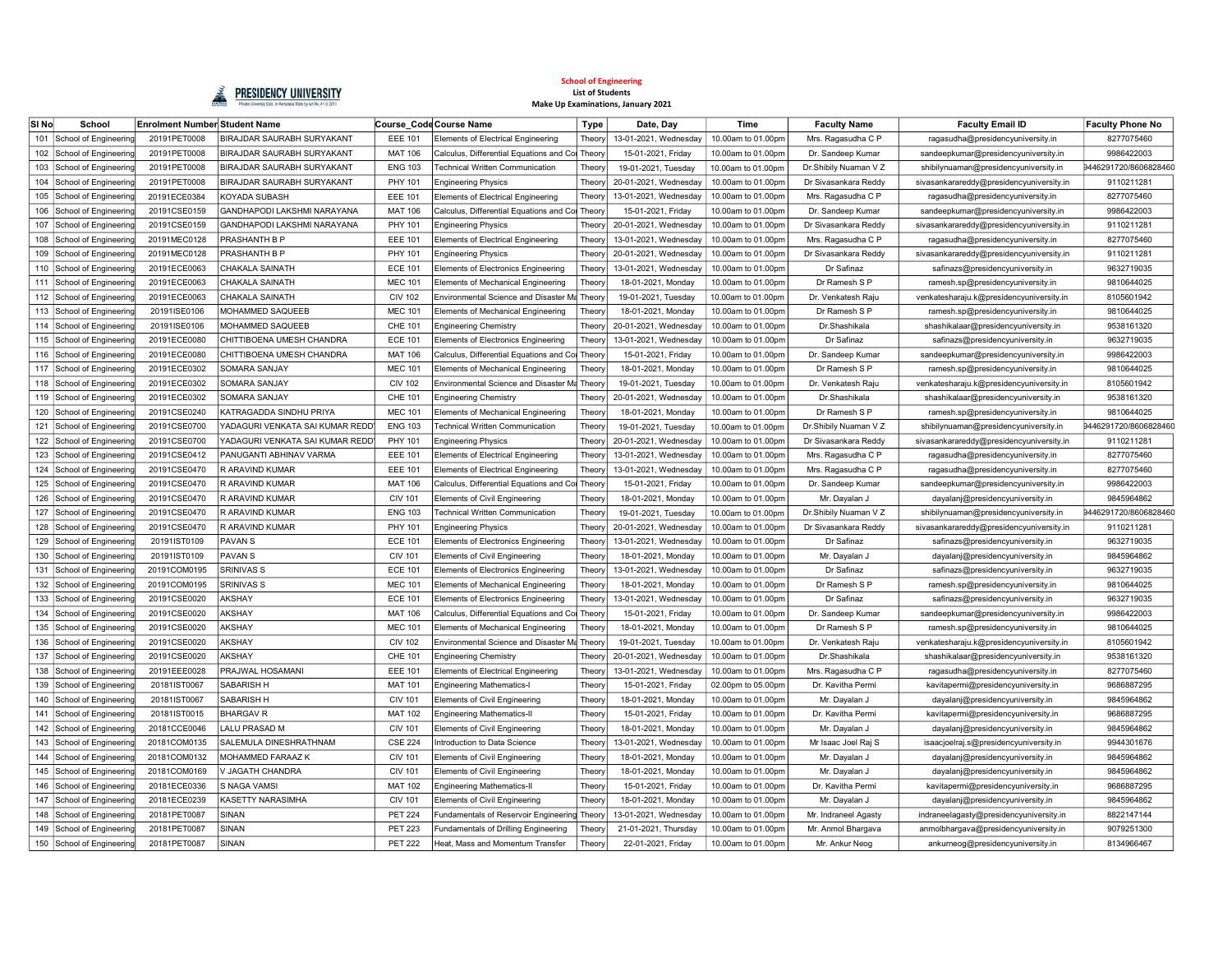

| SI No | School                    | Enrolment Number Student Name |                                 |                | Course Code Course Name                      | <b>Type</b>   | Date, Day             | Time               | <b>Faculty Name</b>   | <b>Faculty Email ID</b>                  | <b>Faculty Phone No</b> |
|-------|---------------------------|-------------------------------|---------------------------------|----------------|----------------------------------------------|---------------|-----------------------|--------------------|-----------------------|------------------------------------------|-------------------------|
| 101   | School of Engineering     | 20191PET0008                  | BIRAJDAR SAURABH SURYAKANT      | <b>EEE 101</b> | <b>Elements of Electrical Engineering</b>    | Theory        | 13-01-2021, Wednesday | 10.00am to 01.00pm | Mrs. Ragasudha C P    | ragasudha@presidencyuniversity.in        | 8277075460              |
|       | 102 School of Engineering | 20191PET0008                  | BIRAJDAR SAURABH SURYAKANT      | <b>MAT 106</b> | Calculus, Differential Equations and Col     | Theory        | 15-01-2021, Friday    | 10.00am to 01.00pm | Dr. Sandeep Kumar     | sandeepkumar@presidencyuniversity.in     | 9986422003              |
|       | 103 School of Engineering | 20191PET0008                  | BIRAJDAR SAURABH SURYAKANT      | <b>ENG 103</b> | Technical Written Communication              | <b>Theory</b> | 19-01-2021, Tuesday   | 10.00am to 01.00pm | Dr.Shibily Nuaman V Z | shibilynuaman@presidencyuniversity.in    | 9446291720/8606828460   |
|       | 104 School of Engineering | 20191PET0008                  | BIRAJDAR SAURABH SURYAKANT      | PHY 101        | <b>Engineering Physics</b>                   | Theory        | 20-01-2021, Wednesday | 10.00am to 01.00pm | Dr Sivasankara Reddy  | sivasankarareddy@presidencyuniversity.in | 9110211281              |
| 105   | School of Engineering     | 20191ECE0384                  | <b>KOYADA SUBASH</b>            | <b>EEE 101</b> | <b>Elements of Electrical Engineering</b>    | Theory        | 13-01-2021, Wednesday | 10.00am to 01.00pm | Mrs. Ragasudha C P    | ragasudha@presidencyuniversity.in        | 8277075460              |
| 106   | School of Engineering     | 20191CSE0159                  | GANDHAPODI LAKSHMI NARAYANA     | <b>MAT 106</b> | Calculus, Differential Equations and Cor     | Theor         | 15-01-2021, Friday    | 10.00am to 01.00pm | Dr. Sandeep Kumar     | sandeepkumar@presidencyuniversity.in     | 9986422003              |
| 107   | School of Engineering     | 20191CSE0159                  | GANDHAPODI LAKSHMI NARAYANA     | PHY 101        | <b>Engineering Physics</b>                   | Theor         | 20-01-2021, Wednesday | 10.00am to 01.00pm | Dr Sivasankara Reddy  | sivasankarareddy@presidencyuniversity.in | 9110211281              |
| 108   | School of Engineering     | 20191MEC0128                  | PRASHANTH B P                   | <b>EEE 101</b> | <b>Elements of Electrical Engineering</b>    | Theory        | 13-01-2021, Wednesday | 10.00am to 01.00pm | Mrs. Ragasudha C P    | ragasudha@presidencyuniversity.in        | 8277075460              |
| 109   | School of Engineering     | 20191MEC0128                  | PRASHANTH B P                   | PHY 101        | <b>Engineering Physics</b>                   | Theor         | 20-01-2021, Wednesday | 10.00am to 01.00pm | Dr Sivasankara Reddy  | sivasankarareddy@presidencyuniversity.in | 9110211281              |
| 110   | School of Engineering     | 20191ECE0063                  | CHAKALA SAINATH                 | <b>ECE 101</b> | <b>Elements of Electronics Engineering</b>   | Theor         | 13-01-2021. Wednesday | 10.00am to 01.00pm | Dr Safinaz            | safinazs@presidencyuniversity.in         | 9632719035              |
| 111   | School of Engineering     | 20191ECE0063                  | CHAKALA SAINATH                 | <b>MEC 101</b> | Elements of Mechanical Engineering           | Theor         | 18-01-2021, Monday    | 10.00am to 01.00pm | Dr Ramesh S P         | ramesh.sp@presidencyuniversity.in        | 9810644025              |
|       | 112 School of Engineering | 20191ECE0063                  | CHAKALA SAINATH                 | <b>CIV 102</b> | Environmental Science and Disaster Ma        | Theorv        | 19-01-2021, Tuesday   | 10.00am to 01.00pm | Dr. Venkatesh Raju    | venkatesharaju.k@presidencyuniversity.in | 8105601942              |
|       | 113 School of Engineering | 20191ISE0106                  | MOHAMMED SAQUEEB                | <b>MEC 101</b> | Elements of Mechanical Engineering           | Theory        | 18-01-2021, Monday    | 10.00am to 01.00pm | Dr Ramesh S P         | ramesh.sp@presidencyuniversity.in        | 9810644025              |
|       | 114 School of Engineering | 20191ISE0106                  | <b>MOHAMMED SAQUEEB</b>         | CHE 101        | <b>Engineering Chemistry</b>                 | Theory        | 20-01-2021, Wednesday | 10.00am to 01.00pm | Dr.Shashikala         | shashikalaar@presidencyuniversity.in     | 9538161320              |
|       | 115 School of Engineering | 20191ECE0080                  | CHITTIBOENA UMESH CHANDRA       | <b>ECE 101</b> | <b>Elements of Electronics Engineering</b>   | Theory        | 13-01-2021, Wednesday | 10.00am to 01.00pm | Dr Safinaz            | safinazs@presidencyuniversity.in         | 9632719035              |
| 116   | School of Engineering     | 20191ECE0080                  | CHITTIBOENA UMESH CHANDRA       | <b>MAT 106</b> | Calculus, Differential Equations and Co      | Theor         | 15-01-2021, Friday    | 10.00am to 01.00pm | Dr. Sandeep Kumar     | sandeepkumar@presidencyuniversity.in     | 9986422003              |
| 117   | School of Engineering     | 20191ECE0302                  | SOMARA SANJAY                   | <b>MEC 101</b> | Elements of Mechanical Engineering           | Theor         | 18-01-2021, Monday    | 10.00am to 01.00pm | Dr Ramesh S P         | ramesh.sp@presidencyuniversity.in        | 9810644025              |
| 118   | School of Engineering     | 20191ECE0302                  | SOMARA SANJAY                   | <b>CIV 102</b> | Environmental Science and Disaster Ma        | Theory        | 19-01-2021, Tuesday   | 10.00am to 01.00pm | Dr. Venkatesh Raju    | venkatesharaju.k@presidencyuniversity.in | 8105601942              |
| 119   | School of Engineering     | 20191ECE0302                  | SOMARA SANJAY                   | CHE 101        | <b>Engineering Chemistry</b>                 | Theor         | 20-01-2021. Wednesday | 10.00am to 01.00pm | Dr.Shashikala         | shashikalaar@presidencyuniversity.in     | 9538161320              |
| 120   | School of Engineering     | 20191CSE0240                  | KATRAGADDA SINDHU PRIYA         | <b>MEC 101</b> | Elements of Mechanical Engineering           | Theory        | 18-01-2021, Monday    | 10.00am to 01.00pm | Dr Ramesh S P         | ramesh.sp@presidencyuniversity.in        | 9810644025              |
| 121   | School of Engineering     | 20191CSE0700                  | YADAGURI VENKATA SAI KUMAR REDD | <b>ENG 103</b> | 「echnical Written Communication              | <b>Theory</b> | 19-01-2021. Tuesdav   | 10.00am to 01.00pm | Dr.Shibily Nuaman V Z | shibilynuaman@presidencyuniversity.in    | 9446291720/8606828460   |
|       | 122 School of Engineering | 20191CSE0700                  | YADAGURI VENKATA SAI KUMAR REDD | PHY 101        | <b>Engineering Physics</b>                   | Theory        | 20-01-2021, Wednesday | 10.00am to 01.00pm | Dr Sivasankara Reddy  | sivasankarareddy@presidencyuniversity.in | 9110211281              |
|       | 123 School of Engineering | 20191CSE0412                  | PANUGANTI ABHINAV VARMA         | <b>EEE 101</b> | <b>Elements of Electrical Engineering</b>    | Theory        | 13-01-2021, Wednesday | 10.00am to 01.00pm | Mrs. Ragasudha C P    | ragasudha@presidencyuniversity.in        | 8277075460              |
|       | 124 School of Engineering | 20191CSE0470                  | R ARAVIND KUMAR                 | <b>EEE 101</b> | <b>Elements of Electrical Engineering</b>    | Theory        | 13-01-2021, Wednesday | 10.00am to 01.00pm | Mrs. Ragasudha C P    | ragasudha@presidencyuniversity.in        | 8277075460              |
|       | 125 School of Engineering | 20191CSE0470                  | R ARAVIND KUMAR                 | <b>MAT 106</b> | Calculus, Differential Equations and Col     | Theory        | 15-01-2021, Friday    | 10.00am to 01.00pm | Dr. Sandeep Kumar     | sandeepkumar@presidencyuniversity.in     | 9986422003              |
| 126   | School of Engineering     | 20191CSE0470                  | R ARAVIND KUMAR                 | <b>CIV 101</b> | Elements of Civil Engineering                | Theon         | 18-01-2021, Monday    | 10.00am to 01.00pm | Mr. Dayalan J         | dayalanj@presidencyuniversity.in         | 9845964862              |
| 127   | School of Engineering     | 20191CSE0470                  | R ARAVIND KUMAR                 | <b>ENG 103</b> | Technical Written Communication              | Theor         | 19-01-2021, Tuesday   | 10.00am to 01.00pm | Dr.Shibily Nuaman V Z | shibilynuaman@presidencyuniversity.in    | 9446291720/8606828460   |
| 128   | School of Engineering     | 20191CSE0470                  | R ARAVIND KUMAR                 | PHY 101        | <b>Engineering Physics</b>                   | Theor         | 20-01-2021, Wednesday | 10.00am to 01.00pm | Dr Sivasankara Reddy  | sivasankarareddy@presidencyuniversity.in | 9110211281              |
| 129   | School of Engineering     | 20191IST0109                  | <b>PAVANS</b>                   | <b>ECE 101</b> | <b>Elements of Electronics Engineering</b>   | Theor         | 13-01-2021, Wednesday | 10.00am to 01.00pm | Dr Safinaz            | safinazs@presidencyuniversity.in         | 9632719035              |
| 130   | School of Engineering     | 20191IST0109                  | <b>PAVANS</b>                   | <b>CIV 101</b> | <b>Elements of Civil Engineering</b>         | Theor         | 18-01-2021, Monday    | 10.00am to 01.00pm | Mr. Dayalan J         | dayalanj@presidencyuniversity.in         | 9845964862              |
| 131   | School of Engineering     | 20191COM0195                  | <b>SRINIVAS S</b>               | <b>ECE 101</b> | Elements of Electronics Engineering          | Theory        | 13-01-2021. Wednesday | 10.00am to 01.00pm | Dr Safinaz            | safinazs@presidencyuniversity.in         | 9632719035              |
|       | 132 School of Engineering | 20191COM0195                  | <b>SRINIVAS S</b>               | <b>MEC 101</b> | <b>Elements of Mechanical Engineering</b>    | Theory        | 18-01-2021, Monday    | 10.00am to 01.00pm | Dr Ramesh S P         | ramesh.sp@presidencyuniversity.in        | 9810644025              |
|       | 133 School of Engineering | 20191CSE0020                  | AKSHAY                          | <b>ECE 101</b> | Elements of Electronics Engineering          | Theory        | 13-01-2021, Wednesday | 10.00am to 01.00pm | Dr Safinaz            | safinazs@presidencyuniversity.in         | 9632719035              |
|       | 134 School of Engineering | 20191CSE0020                  | <b>AKSHAY</b>                   | <b>MAT 106</b> | Calculus, Differential Equations and Col     | Theory        | 15-01-2021, Friday    | 10.00am to 01.00pm | Dr. Sandeep Kumar     | sandeepkumar@presidencyuniversity.in     | 9986422003              |
| 135   | School of Engineering     | 20191CSE0020                  | AKSHAY                          | <b>MEC 101</b> | <b>Elements of Mechanical Engineering</b>    | Theory        | 18-01-2021. Mondav    | 10.00am to 01.00pm | Dr Ramesh S P         | ramesh.sp@presidencyuniversity.in        | 9810644025              |
| 136   | School of Engineering     | 20191CSE0020                  | AKSHAY                          | <b>CIV 102</b> | Environmental Science and Disaster Ma        | Theory        | 19-01-2021, Tuesday   | 10.00am to 01.00pm | Dr. Venkatesh Raju    | venkatesharaju.k@presidencyuniversity.in | 8105601942              |
| 137   | School of Engineering     | 20191CSE0020                  | AKSHAY                          | CHE 101        | <b>Engineering Chemistry</b>                 | Theor         | 20-01-2021, Wednesday | 10.00am to 01.00pm | Dr.Shashikala         | shashikalaar@presidencyuniversity.in     | 9538161320              |
| 138   | School of Engineering     | 20191EEE0028                  | PRAJWAL HOSAMANI                | <b>EEE 101</b> | <b>Elements of Electrical Engineering</b>    | Theor         | 13-01-2021, Wednesday | 10.00am to 01.00pm | Mrs. Ragasudha C P    | ragasudha@presidencyuniversity.in        | 8277075460              |
| 139   | School of Engineering     | 20181IST0067                  | SABARISH H                      | <b>MAT 101</b> | <b>Engineering Mathematics-I</b>             | Theor         | 15-01-2021, Friday    | 02.00pm to 05.00pm | Dr. Kavitha Permi     | kavitapermi@presidencyuniversity.in      | 9686887295              |
| 140   | School of Engineering     | 20181IST0067                  | SABARISH H                      | <b>CIV 101</b> | <b>Elements of Civil Engineering</b>         | Theory        | 18-01-2021. Mondav    | 10.00am to 01.00pm | Mr. Dayalan J         | dayalanj@presidencyuniversity.in         | 9845964862              |
| 141   | School of Engineering     | 20181IST0015                  | <b>BHARGAV R</b>                | <b>MAT 102</b> | Engineering Mathematics-II                   | Theor         | 15-01-2021, Friday    | 10.00am to 01.00pm | Dr. Kavitha Permi     | kavitapermi@presidencyuniversity.in      | 9686887295              |
|       | 142 School of Engineering | 20181CCE0046                  | LALU PRASAD M                   | <b>CIV 101</b> | <b>Elements of Civil Engineering</b>         | Theory        | 18-01-2021, Monday    | 10.00am to 01.00pm | Mr. Dayalan J         | dayalanj@presidencyuniversity.in         | 9845964862              |
|       | 143 School of Engineering | 20181COM0135                  | SALEMULA DINESHRATHNAM          | <b>CSE 224</b> | Introduction to Data Science                 | Theory        | 13-01-2021, Wednesday | 10.00am to 01.00pm | Mr Isaac Joel Raj S   | isaacjoelraj.s@presidencyuniversity.in   | 9944301676              |
|       | 144 School of Engineering | 20181COM0132                  | MOHAMMED FARAAZ K               | <b>CIV 101</b> | Elements of Civil Engineering                | Theory        | 18-01-2021, Monday    | 10.00am to 01.00pm | Mr. Dayalan J         | dayalanj@presidencyuniversity.in         | 9845964862              |
|       | 145 School of Engineering | 20181COM0169                  | <b>JAGATH CHANDRA</b>           | <b>CIV 101</b> | <b>Elements of Civil Engineering</b>         | Theory        | 18-01-2021. Mondav    | 10.00am to 01.00pm | Mr. Dayalan J         | dayalanj@presidencyuniversity.in         | 9845964862              |
| 146   | School of Engineering     | 20181ECE0336                  | S NAGA VAMSI                    | <b>MAT 102</b> | <b>Engineering Mathematics-II</b>            | Theor         | 15-01-2021, Friday    | 10.00am to 01.00pm | Dr. Kavitha Permi     | kavitapermi@presidencyuniversity.in      | 9686887295              |
| 147   | School of Engineering     | 20181ECE0239                  | <b>KASETTY NARASIMHA</b>        | <b>CIV 101</b> | <b>Elements of Civil Engineering</b>         | Theor         | 18-01-2021, Monday    | 10.00am to 01.00pm | Mr. Dayalan J         | dayalanj@presidencyuniversity.in         | 9845964862              |
| 148   | School of Engineering     | 20181PET0087                  | SINAN                           | <b>PET 224</b> | Fundamentals of Reservoir Engineering Theory |               | 13-01-2021, Wednesday | 10.00am to 01.00pm | Mr. Indraneel Agasty  | indraneelagasty@presidencyuniversity.in  | 8822147144              |
| 149   | School of Engineering     | 20181PET0087                  | SINAN                           | <b>PET 223</b> | Fundamentals of Drilling Engineering         | Theor         | 21-01-2021, Thursday  | 10.00am to 01.00pm | Mr. Anmol Bhargava    | anmolbhargava@presidencyuniversity.in    | 9079251300              |
| 150   | School of Engineering     | 20181PET0087                  | SINAN                           | <b>PET 222</b> | Heat, Mass and Momentum Transfer             | Theory        | 22-01-2021, Friday    | 10.00am to 01.00pm | Mr. Ankur Neog        | ankurneog@presidencyuniversity.in        | 8134966467              |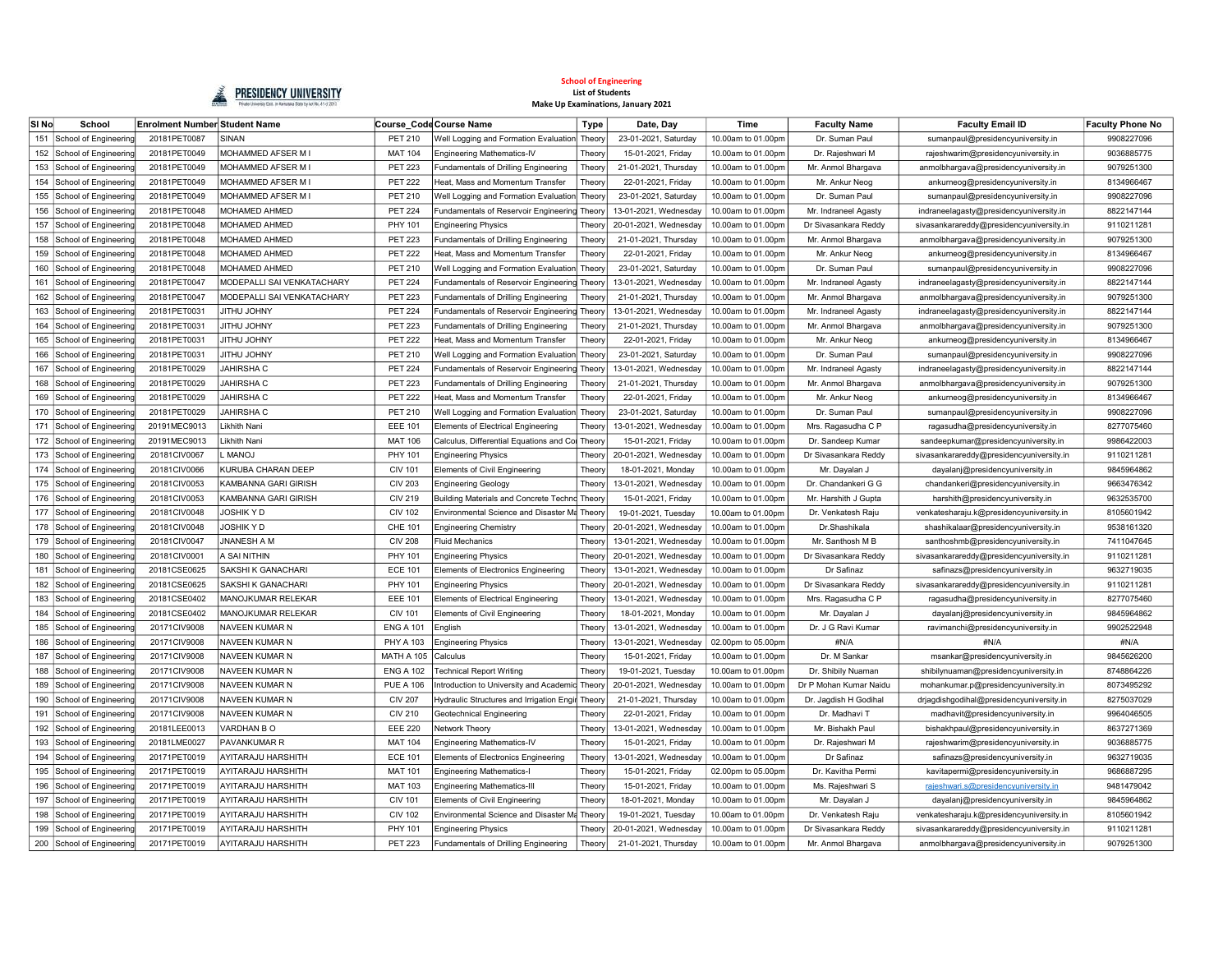

| SI <sub>No</sub> | School                    | <b>Enrolment Number Student Name</b> |                             |                   | Course Code Course Name                          | <b>Type</b> | Date, Day             | Time               | <b>Faculty Name</b>    | <b>Faculty Email ID</b>                  | <b>Faculty Phone No</b> |
|------------------|---------------------------|--------------------------------------|-----------------------------|-------------------|--------------------------------------------------|-------------|-----------------------|--------------------|------------------------|------------------------------------------|-------------------------|
| 151              | School of Engineering     | 20181PET0087                         | SINAN                       | <b>PET 210</b>    | Well Logging and Formation Evaluation Theory     |             | 23-01-2021, Saturday  | 10.00am to 01.00pm | Dr. Suman Paul         | sumanpaul@presidencyuniversity.in        | 9908227096              |
|                  | 152 School of Engineering | 20181PET0049                         | MOHAMMED AFSER M I          | <b>MAT 104</b>    | Engineering Mathematics-IV                       | Theory      | 15-01-2021, Fridav    | 10.00am to 01.00pm | Dr. Raieshwari M       | rajeshwarim@presidencyuniversity.in      | 9036885775              |
| 153              | School of Engineering     | 20181PET0049                         | MOHAMMED AFSER M I          | <b>PET 223</b>    | Fundamentals of Drilling Engineering             | Theory      | 21-01-2021, Thursday  | 10.00am to 01.00pm | Mr. Anmol Bhargava     | anmolbhargava@presidencyuniversity.in    | 9079251300              |
| 154              | School of Engineering     | 20181PET0049                         | <b>MOHAMMED AFSER MI</b>    | <b>PET 222</b>    | Heat, Mass and Momentum Transfer                 | Theor       | 22-01-2021, Friday    | 10.00am to 01.00pm | Mr. Ankur Neog         | ankurneog@presidencyuniversity.in        | 8134966467              |
| 155              | School of Engineering     | 20181PET0049                         | MOHAMMED AFSER M I          | PET 210           | Well Logging and Formation Evaluation            | Theory      | 23-01-2021, Saturday  | 10.00am to 01.00pm | Dr. Suman Paul         | sumanpaul@presidencyuniversity.in        | 9908227096              |
| 156              | School of Engineering     | 20181PET0048                         | MOHAMED AHMED               | <b>PET 224</b>    | Fundamentals of Reservoir Engineering Theory     |             | 13-01-2021, Wednesday | 10.00am to 01.00pm | Mr. Indraneel Agasty   | indraneelagasty@presidencyuniversity.in  | 8822147144              |
| 157              | School of Engineering     | 20181PET0048                         | MOHAMED AHMED               | PHY 101           | <b>Engineering Physics</b>                       | Theor       | 20-01-2021, Wednesday | 10.00am to 01.00pm | Dr Sivasankara Reddy   | sivasankarareddy@presidencyuniversity.in | 9110211281              |
| 158              | School of Engineering     | 20181PET0048                         | MOHAMED AHMED               | <b>PET 223</b>    | Fundamentals of Drilling Engineering             | Theor       | 21-01-2021, Thursday  | 10.00am to 01.00pm | Mr. Anmol Bhargava     | anmolbhargava@presidencyuniversity.in    | 9079251300              |
| 159              | School of Engineering     | 20181PET0048                         | MOHAMED AHMED               | <b>PET 222</b>    | Heat, Mass and Momentum Transfer                 | Theory      | 22-01-2021, Friday    | 10.00am to 01.00pm | Mr. Ankur Neog         | ankurneog@presidencyuniversity.in        | 8134966467              |
| 160              | School of Engineering     | 20181PET0048                         | MOHAMED AHMED               | PET 210           | Well Logging and Formation Evaluation Theory     |             | 23-01-2021, Saturday  | 10.00am to 01.00pm | Dr. Suman Paul         | sumanpaul@presidencyuniversity.in        | 9908227096              |
| 161              | School of Engineering     | 20181PET0047                         | MODEPALLI SAI VENKATACHARY  | <b>PET 224</b>    | Fundamentals of Reservoir Engineering Theory     |             | 13-01-2021, Wednesday | 10.00am to 01.00pm | Mr. Indraneel Agasty   | indraneelagasty@presidencyuniversity.in  | 8822147144              |
|                  | 162 School of Engineering | 20181PET0047                         | MODEPALLI SAI VENKATACHARY  | <b>PET 223</b>    | Fundamentals of Drilling Engineering             | Theory      | 21-01-2021, Thursday  | 10.00am to 01.00pm | Mr. Anmol Bhargava     | anmolbhargava@presidencyuniversity.in    | 9079251300              |
|                  | 163 School of Engineering | 20181PET0031                         | <b>VITHU JOHNY</b>          | <b>PET 224</b>    | Fundamentals of Reservoir Engineering Theory     |             | 13-01-2021, Wednesday | 10.00am to 01.00pm | Mr. Indraneel Agasty   | indraneelagasty@presidencyuniversity.in  | 8822147144              |
| 164              | School of Engineering     | 20181PET0031                         | <b>YIAHOL UHTIL</b>         | <b>PET 223</b>    | Fundamentals of Drilling Engineering             | Theory      | 21-01-2021, Thursday  | 10.00am to 01.00pm | Mr. Anmol Bhargava     | anmolbhargava@presidencyuniversity.in    | 9079251300              |
|                  | 165 School of Engineering | 20181PET0031                         | <b>VITHU JOHNY</b>          | <b>PET 222</b>    | Heat, Mass and Momentum Transfer                 | Theory      | 22-01-2021. Fridav    | 10,00am to 01,00pm | Mr. Ankur Neog         | ankurneog@presidencyuniversity.in        | 8134966467              |
| 166              | School of Engineering     | 20181PET0031                         | <b>VITHU JOHNY</b>          | PET 210           | Well Logging and Formation Evaluation            | Theory      | 23-01-2021, Saturday  | 10.00am to 01.00pm | Dr. Suman Paul         | sumanpaul@presidencyuniversity.in        | 9908227096              |
| 167              | School of Engineering     | 20181PET0029                         | <b>JAHIRSHA C</b>           | <b>PET 224</b>    | <b>Fundamentals of Reservoir Engineering</b>     | Theor       | 13-01-2021, Wednesday | 10.00am to 01.00pm | Mr. Indraneel Agasty   | indraneelagasty@presidencyuniversity.in  | 8822147144              |
| 168              | School of Engineering     | 20181PET0029                         | <b>JAHIRSHA C</b>           | <b>PET 223</b>    | Fundamentals of Drilling Engineering             | Theor       | 21-01-2021, Thursday  | 10.00am to 01.00pm | Mr. Anmol Bhargava     | anmolbhargava@presidencyuniversity.in    | 9079251300              |
| 169              | School of Engineering     | 20181PET0029                         | <b>JAHIRSHA C</b>           | <b>PET 222</b>    | Heat, Mass and Momentum Transfer                 | Theory      | 22-01-2021, Friday    | 10.00am to 01.00pm | Mr. Ankur Neog         | ankurneog@presidencyuniversity.in        | 8134966467              |
| 170              | School of Engineering     | 20181PET0029                         | <b>JAHIRSHA C</b>           | PET 210           | Well Logging and Formation Evaluation            | Theory      | 23-01-2021, Saturday  | 10.00am to 01.00pm | Dr. Suman Paul         | sumanpaul@presidencyuniversity.in        | 9908227096              |
| 171              | School of Engineering     | 20191MEC9013                         | Likhith Nani                | <b>EEE 101</b>    | <b>Elements of Electrical Engineering</b>        | Theory      | 13-01-2021. Wednesday | 10,00am to 01,00pm | Mrs. Ragasudha C P     | ragasudha@presidencyuniversity.in        | 8277075460              |
|                  | 172 School of Engineering | 20191MEC9013                         | Likhith Nani                | <b>MAT 106</b>    | Calculus, Differential Equations and Col Theory  |             | 15-01-2021, Friday    | 10.00am to 01.00pm | Dr. Sandeep Kumar      | sandeepkumar@presidencyuniversity.in     | 9986422003              |
| 173              | School of Engineering     | 20181CIV0067                         | <b>LONAN.</b>               | PHY 101           | <b>Engineering Physics</b>                       | Theory      | 20-01-2021, Wednesday | 10.00am to 01.00pm | Dr Sivasankara Reddy   | sivasankarareddy@presidencyuniversity.in | 9110211281              |
|                  | 174 School of Engineering | 20181CIV0066                         | KURUBA CHARAN DEEP          | <b>CIV 101</b>    | <b>Elements of Civil Engineering</b>             | Theory      | 18-01-2021, Monday    | 10.00am to 01.00pm | Mr. Dayalan J          | dayalanj@presidencyuniversity.in         | 9845964862              |
|                  | 175 School of Engineering | 20181CIV0053                         | <b>KAMBANNA GARI GIRISH</b> | <b>CIV 203</b>    | <b>Engineering Geology</b>                       | Theory      | 13-01-2021, Wednesday | 10.00am to 01.00pm | Dr. Chandankeri G G    | chandankeri@presidencyuniversity.in      | 9663476342              |
|                  | 176 School of Engineering | 20181CIV0053                         | KAMBANNA GARI GIRISH        | <b>CIV 219</b>    | Building Materials and Concrete Technd Theory    |             | 15-01-2021, Friday    | 10.00am to 01.00pm | Mr. Harshith J Gupta   | harshith@presidencyuniversity.in         | 9632535700              |
|                  | 177 School of Engineering | 20181CIV0048                         | <b>JOSHIK Y D</b>           | <b>CIV 102</b>    | Environmental Science and Disaster Ma Theory     |             | 19-01-2021. Tuesdav   | 10.00am to 01.00pm | Dr. Venkatesh Raiu     | venkatesharaju.k@presidencyuniversity.in | 8105601942              |
| 178              | School of Engineering     | 20181CIV0048                         | JOSHIK Y D                  | CHE 101           | <b>Engineering Chemistry</b>                     | Theory      | 20-01-2021, Wednesday | 10.00am to 01.00pm | Dr.Shashikala          | shashikalaar@presidencyuniversity.in     | 9538161320              |
| 179              | School of Engineering     | 20181CIV0047                         | JNANESH A M                 | <b>CIV 208</b>    | <b>Fluid Mechanics</b>                           | Theor       | 13-01-2021, Wednesday | 10.00am to 01.00pm | Mr. Santhosh M B       | santhoshmb@presidencyuniversity.in       | 7411047645              |
| 180              | School of Engineering     | 20181CIV0001                         | A SAI NITHIN                | PHY 101           | <b>Engineering Physics</b>                       | Theor       | 20-01-2021, Wednesday | 10.00am to 01.00pm | Dr Sivasankara Reddy   | sivasankarareddy@presidencyuniversity.in | 9110211281              |
| 181              | School of Engineering     | 20181CSE0625                         | SAKSHI K GANACHARI          | <b>ECE 101</b>    | <b>Elements of Electronics Engineering</b>       | Theor       | 13-01-2021, Wednesday | 10.00am to 01.00pm | Dr Safinaz             | safinazs@presidencyuniversity.in         | 9632719035              |
| 182              | School of Engineering     | 20181CSE0625                         | SAKSHI K GANACHARI          | PHY 101           | <b>Engineering Physics</b>                       | Theor       | 20-01-2021, Wednesday | 10.00am to 01.00pm | Dr Sivasankara Reddy   | sivasankarareddy@presidencyuniversity.in | 9110211281              |
| 183              | School of Engineering     | 20181CSE0402                         | <b>MANOJKUMAR RELEKAR</b>   | <b>EEE 101</b>    | <b>Elements of Electrical Engineering</b>        | Theor       | 13-01-2021, Wednesday | 10.00am to 01.00pm | Mrs. Ragasudha C P     | ragasudha@presidencyuniversity.in        | 8277075460              |
| 184              | School of Engineering     | 20181CSE0402                         | MANOJKUMAR RELEKAR          | <b>CIV 101</b>    | <b>Elements of Civil Engineering</b>             | Theory      | 18-01-2021, Monday    | 10.00am to 01.00pm | Mr. Dayalan J          | dayalanj@presidencyuniversity.in         | 9845964862              |
| 185              | School of Engineering     | 20171CIV9008                         | NAVEEN KUMAR N              | <b>ENG A 101</b>  | English                                          | Theor       | 13-01-2021, Wednesday | 10,00am to 01,00pm | Dr. J G Ravi Kumar     | ravimanchi@presidencyuniversity.in       | 9902522948              |
| 186              | School of Engineering     | 20171CIV9008                         | NAVEEN KUMAR N              | PHY A 103         | <b>Engineering Physics</b>                       | Theory      | 13-01-2021, Wednesday | 02.00pm to 05.00pm | #N/A                   | #N/A                                     | #N/A                    |
| 187              | School of Engineering     | 20171CIV9008                         | NAVEEN KUMAR N              | <b>MATH A 105</b> | Calculus                                         | Theory      | 15-01-2021, Friday    | 10.00am to 01.00pm | Dr. M Sankar           | msankar@presidencyuniversity.in          | 9845626200              |
| 188              | School of Engineering     | 20171CIV9008                         | <b>NAVEEN KUMAR N</b>       | <b>ENG A 102</b>  | <b>Technical Report Writing</b>                  | Theory      | 19-01-2021, Tuesday   | 10.00am to 01.00pm | Dr. Shibily Nuaman     | shibilynuaman@presidencyuniversity.in    | 8748864226              |
| 189              | School of Engineering     | 20171CIV9008                         | NAVEEN KUMAR N              | <b>PUE A 106</b>  | Introduction to University and Academid Theory   |             | 20-01-2021, Wednesday | 10.00am to 01.00pm | Dr P Mohan Kumar Naidu | mohankumar.p@presidencyuniversity.in     | 8073495292              |
| 190              | School of Engineering     | 20171CIV9008                         | NAVEEN KUMAR N              | <b>CIV 207</b>    | Hydraulic Structures and Irrigation Engil Theory |             | 21-01-2021, Thursday  | 10.00am to 01.00pm | Dr. Jagdish H Godihal  | drjagdishgodihal@presidencyuniversity.in | 8275037029              |
| 191              | School of Engineering     | 20171CIV9008                         | NAVEEN KUMAR N              | <b>CIV 210</b>    | Geotechnical Engineering                         | Theor       | 22-01-2021, Friday    | 10.00am to 01.00pm | Dr. Madhavi T          | madhavit@presidencyuniversity.in         | 9964046505              |
| 192              | School of Engineering     | 20181LEE0013                         | VARDHAN BO                  | <b>EEE 220</b>    | Network Theory                                   | Theory      | 13-01-2021, Wednesday | 10.00am to 01.00pm | Mr. Bishakh Paul       | bishakhpaul@presidencyuniversity.in      | 8637271369              |
| 193              | School of Engineering     | 20181LME0027                         | PAVANKUMAR R                | <b>MAT 104</b>    | <b>Engineering Mathematics-IV</b>                | Theory      | 15-01-2021, Friday    | 10.00am to 01.00pm | Dr. Rajeshwari M       | rajeshwarim@presidencyuniversity.in      | 9036885775              |
| 194              | School of Engineering     | 20171PET0019                         | AYITARAJU HARSHITH          | <b>ECE 101</b>    | Elements of Electronics Engineering              | Theory      | 13-01-2021, Wednesday | 10.00am to 01.00pm | Dr Safinaz             | safinazs@presidencyuniversity.in         | 9632719035              |
|                  | 195 School of Engineering | 20171PET0019                         | AYITARAJU HARSHITH          | <b>MAT 101</b>    | Engineering Mathematics-I                        | Theory      | 15-01-2021. Fridav    | 02.00pm to 05.00pm | Dr. Kavitha Permi      | kavitapermi@presidencyuniversity.in      | 9686887295              |
| 196              | School of Engineering     | 20171PET0019                         | <b>AYITARAJU HARSHITH</b>   | <b>MAT 103</b>    | <b>Engineering Mathematics-III</b>               | Theory      | 15-01-2021, Friday    | 10.00am to 01.00pm | Ms. Rajeshwari S       | rajeshwari.s@presidencyuniversity.in     | 9481479042              |
| 197              | School of Engineering     | 20171PET0019                         | AYITARAJU HARSHITH          | <b>CIV 101</b>    | <b>Elements of Civil Engineering</b>             | Theory      | 18-01-2021, Monday    | 10.00am to 01.00pm | Mr. Dayalan J          | dayalanj@presidencyuniversity.in         | 9845964862              |
|                  | 198 School of Engineering | 20171PET0019                         | AYITARAJU HARSHITH          | <b>CIV 102</b>    | Environmental Science and Disaster Ma Theory     |             | 19-01-2021, Tuesday   | 10.00am to 01.00pm | Dr. Venkatesh Raju     | venkatesharaju.k@presidencyuniversity.in | 8105601942              |
|                  | 199 School of Engineering | 20171PET0019                         | AYITARAJU HARSHITH          | PHY 101           | <b>Engineering Physics</b>                       | Theory      | 20-01-2021, Wednesday | 10.00am to 01.00pm | Dr Sivasankara Reddy   | sivasankarareddy@presidencyuniversity.in | 9110211281              |
|                  | 200 School of Engineering | 20171PET0019                         | AYITARAJU HARSHITH          | <b>PET 223</b>    | Fundamentals of Drilling Engineering             | Theory      | 21-01-2021, Thursday  | 10.00am to 01.00pm | Mr. Anmol Bhargava     | anmolbhargava@presidencyuniversity.in    | 9079251300              |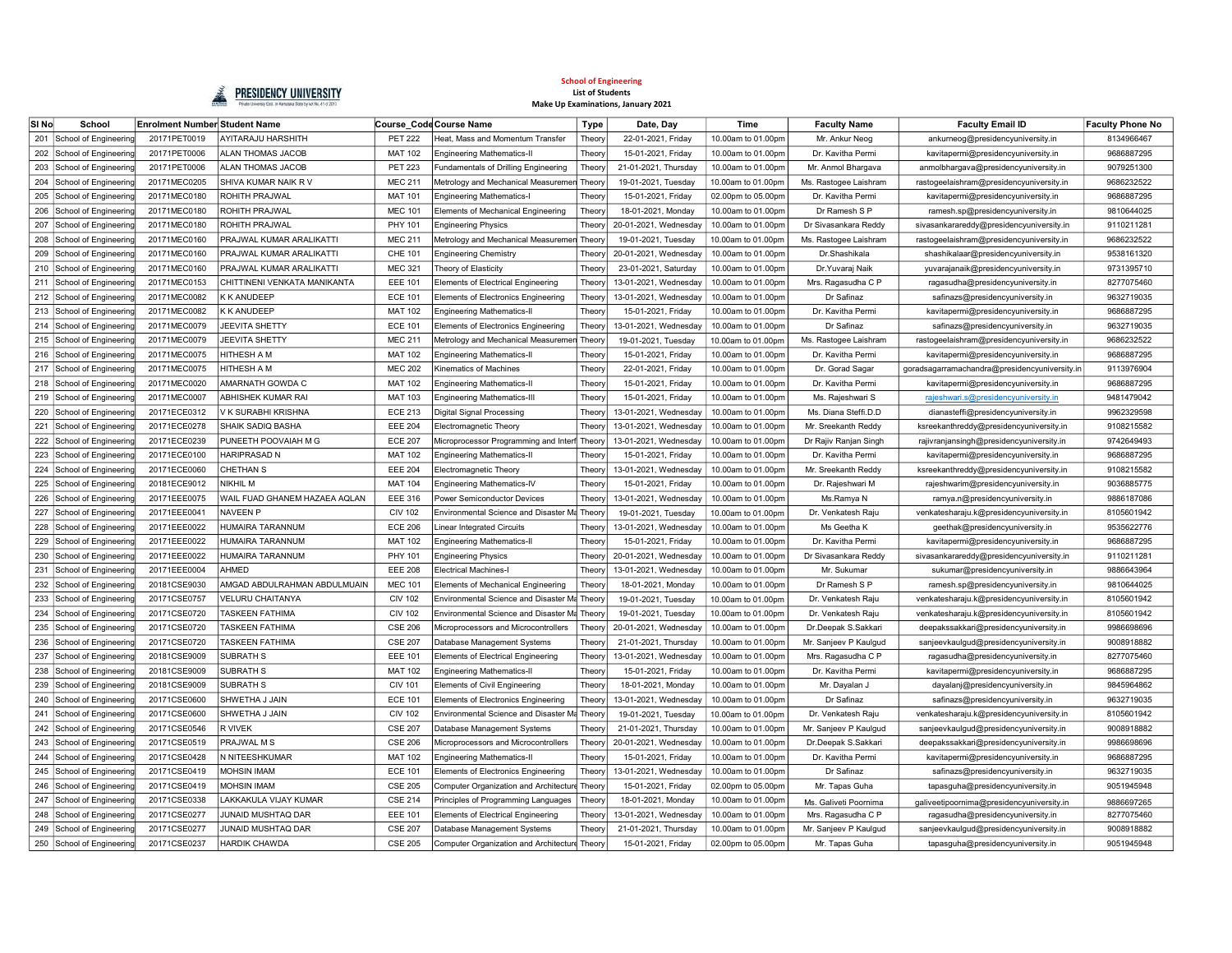

| SI No | School                    | <b>Enrolment Number Student Name</b> |                               |                | Course Code Course Name                       | <b>Type</b> | Date, Day             | Time               | <b>Faculty Name</b>   | <b>Faculty Email ID</b>                       | <b>Faculty Phone No</b> |
|-------|---------------------------|--------------------------------------|-------------------------------|----------------|-----------------------------------------------|-------------|-----------------------|--------------------|-----------------------|-----------------------------------------------|-------------------------|
| 201   | School of Engineering     | 20171PET0019                         | <b>AYITARAJU HARSHITH</b>     | <b>PET 222</b> | Heat, Mass and Momentum Transfer              | Theory      | 22-01-2021, Friday    | 10.00am to 01.00pm | Mr. Ankur Neog        | ankurneog@presidencyuniversity.in             | 8134966467              |
| 202   | School of Engineering     | 20171PET0006                         | ALAN THOMAS JACOB             | <b>MAT 102</b> | Engineering Mathematics-II                    | Theory      | 15-01-2021, Fridav    | 10.00am to 01.00pm | Dr. Kavitha Permi     | kavitapermi@presidencyuniversity.in           | 9686887295              |
| 203   | School of Engineering     | 20171PET0006                         | ALAN THOMAS JACOB             | <b>PET 223</b> | Fundamentals of Drilling Engineering          | Theory      | 21-01-2021, Thursday  | 10.00am to 01.00pm | Mr. Anmol Bhargava    | anmolbhargava@presidencyuniversity.in         | 9079251300              |
| 204   | School of Engineering     | 20171MEC0205                         | SHIVA KUMAR NAIK R V          | <b>MEC 211</b> | Metrology and Mechanical Measuremen Theory    |             | 19-01-2021, Tuesday   | 10.00am to 01.00pm | Ms. Rastogee Laishram | rastogeelaishram@presidencyuniversity.in      | 9686232522              |
| 205   | School of Engineering     | 20171MEC0180                         | ROHITH PRAJWAL                | <b>MAT 101</b> | <b>Engineering Mathematics-I</b>              | Theor       | 15-01-2021, Friday    | 02.00pm to 05.00pn | Dr. Kavitha Permi     | kavitapermi@presidencyuniversity.in           | 9686887295              |
| 206   | School of Engineering     | 20171MEC0180                         | ROHITH PRAJWAL                | <b>MEC 101</b> | Elements of Mechanical Engineering            | Theor       | 18-01-2021, Monday    | 10.00am to 01.00pm | Dr Ramesh S P         | ramesh.sp@presidencyuniversity.in             | 9810644025              |
| 207   | School of Engineering     | 20171MEC0180                         | ROHITH PRAJWAL                | PHY 101        | <b>Engineering Physics</b>                    | Theor       | 20-01-2021, Wednesday | 10.00am to 01.00pn | Dr Sivasankara Reddy  | sivasankarareddy@presidencyuniversity.in      | 9110211281              |
| 208   | School of Engineering     | 20171MEC0160                         | PRAJWAL KUMAR ARALIKATTI      | <b>MEC 211</b> | Metrology and Mechanical Measuremen           | Theory      | 19-01-2021, Tuesday   | 10.00am to 01.00pm | Ms. Rastogee Laishram | rastogeelaishram@presidencyuniversity.in      | 9686232522              |
| 209   | School of Engineering     | 20171MEC0160                         | PRAJWAL KUMAR ARALIKATTI      | CHE 101        | <b>Engineering Chemistry</b>                  | Theor       | 20-01-2021, Wednesday | 10,00am to 01,00pm | Dr.Shashikala         | shashikalaar@presidencyuniversity.in          | 9538161320              |
|       | 210 School of Engineering | 20171MEC0160                         | PRAJWAL KUMAR ARALIKATTI      | <b>MEC 321</b> | Theory of Elasticity                          | Theor       | 23-01-2021, Saturday  | 10.00am to 01.00pm | Dr. Yuvarai Naik      | yuvarajanaik@presidencyuniversity.in          | 9731395710              |
| 211   | School of Engineering     | 20171MEC0153                         | CHITTINENI VENKATA MANIKANTA  | <b>EEE 101</b> | <b>Elements of Electrical Engineering</b>     | Theor       | 13-01-2021, Wednesday | 10.00am to 01.00pm | Mrs. Ragasudha C P    | ragasudha@presidencyuniversity.in             | 8277075460              |
| 212   | School of Engineering     | 20171MEC0082                         | K K ANUDEEP                   | <b>ECE 101</b> | <b>Elements of Electronics Engineering</b>    | Theon       | 13-01-2021, Wednesday | 10.00am to 01.00pm | Dr Safinaz            | safinazs@presidencyuniversity.in              | 9632719035              |
|       | 213 School of Engineering | 20171MEC0082                         | <b>K K ANUDEEP</b>            | <b>MAT 102</b> | <b>Engineering Mathematics-II</b>             | Theory      | 15-01-2021, Friday    | 10.00am to 01.00pm | Dr. Kavitha Permi     | kavitapermi@presidencyuniversity.in           | 9686887295              |
|       | 214 School of Engineering | 20171MEC0079                         | JEEVITA SHETTY                | <b>ECE 101</b> | <b>Elements of Electronics Engineering</b>    | Theory      | 13-01-2021, Wednesday | 10.00am to 01.00pm | Dr Safinaz            | safinazs@presidencyuniversity.in              | 9632719035              |
|       | 215 School of Engineering | 20171MEC0079                         | JEEVITA SHETTY                | <b>MEC 211</b> | Metrology and Mechanical Measuremen Theory    |             | 19-01-2021, Tuesday   | 10.00am to 01.00pm | Ms. Rastogee Laishram | rastogeelaishram@presidencyuniversity.in      | 9686232522              |
|       | 216 School of Engineering | 20171MEC0075                         | HITHESH A M                   | <b>MAT 102</b> | <b>Engineering Mathematics-II</b>             | Theon       | 15-01-2021, Friday    | 10.00am to 01.00pn | Dr. Kavitha Permi     | kavitapermi@presidencyuniversity.in           | 9686887295              |
| 217   | School of Engineering     | 20171MEC0075                         | HITHESH A M                   | <b>MEC 202</b> | <b>Kinematics of Machines</b>                 | Theor       | 22-01-2021, Friday    | 10.00am to 01.00pm | Dr. Gorad Sagar       | goradsagarramachandra@presidencyuniversity.in | 9113976904              |
| 218   | School of Engineering     | 20171MEC0020                         | AMARNATH GOWDA C              | <b>MAT 102</b> | <b>Engineering Mathematics-II</b>             | Theor       | 15-01-2021, Friday    | 10.00am to 01.00pm | Dr. Kavitha Permi     | kavitapermi@presidencyuniversity.in           | 9686887295              |
| 219   | School of Engineering     | 20171MEC0007                         | ABHISHEK KUMAR RAI            | <b>MAT 103</b> | <b>Engineering Mathematics-II</b>             | Theor       | 15-01-2021, Friday    | 10.00am to 01.00pn | Ms. Rajeshwari S      | rajeshwari.s@presidencyuniversity.in          | 9481479042              |
| 220   | School of Engineering     | 20171ECE0312                         | V K SURABHI KRISHNA           | <b>ECE 213</b> | Digital Signal Processing                     | Theor       | 13-01-2021, Wednesday | 10.00am to 01.00pm | Ms. Diana Steffi.D.D  | dianasteffi@presidencyuniversity.in           | 9962329598              |
| 221   | School of Engineering     | 20171ECE0278                         | SHAIK SADIO BASHA             | <b>EEE 204</b> | Electromagnetic Theory                        | Theor       | 13-01-2021, Wednesday | 10.00am to 01.00pn | Mr. Sreekanth Reddy   | ksreekanthreddy@presidencyuniversity.in       | 9108215582              |
| 222   | School of Engineering     | 20171ECE0239                         | PUNEETH POOVAIAH M G          | <b>ECE 207</b> | Microprocessor Programming and Interf Theory  |             | 13-01-2021, Wednesday | 10.00am to 01.00pn | Dr Rajiv Ranjan Singh | rajivranjansingh@presidencyuniversity.in      | 9742649493              |
| 223   | School of Engineering     | 20171ECE0100                         | <b>HARIPRASAD N</b>           | <b>MAT 102</b> | <b>Engineering Mathematics-II</b>             | Theor       | 15-01-2021, Friday    | 10.00am to 01.00pm | Dr. Kavitha Permi     | kavitapermi@presidencyuniversity.in           | 9686887295              |
| 224   | School of Engineering     | 20171ECE0060                         | <b>CHETHAN S</b>              | <b>EEE 204</b> | Electromagnetic Theory                        | Theory      | 13-01-2021, Wednesday | 10.00am to 01.00pm | Mr. Sreekanth Reddy   | ksreekanthreddy@presidencyuniversity.in       | 9108215582              |
| 225   | School of Engineering     | 20181ECE9012                         | NIKHIL M                      | <b>MAT 104</b> | <b>Engineering Mathematics-IV</b>             | Theory      | 15-01-2021, Friday    | 10.00am to 01.00pm | Dr. Rajeshwari M      | rajeshwarim@presidencyuniversity.in           | 9036885775              |
| 226   | School of Engineering     | 20171EEE0075                         | WAIL FUAD GHANEM HAZAEA AQLAN | <b>EEE 316</b> | Power Semiconductor Devices                   | Theory      | 13-01-2021, Wednesday | 10.00am to 01.00pm | Ms.Ramya N            | ramya.n@presidencyuniversity.in               | 9886187086              |
| 227   | School of Engineering     | 20171EEE0041                         | <b>NAVEEN P</b>               | <b>CIV 102</b> | Environmental Science and Disaster Ma Theory  |             | 19-01-2021, Tuesday   | 10.00am to 01.00pm | Dr. Venkatesh Raju    | venkatesharaju.k@presidencyuniversity.in      | 8105601942              |
|       | 228 School of Engineering | 20171EEE0022                         | HUMAIRA TARANNUM              | <b>ECE 206</b> | Linear Integrated Circuits                    | Theory      | 13-01-2021. Wednesdav | 10.00am to 01.00pm | Ms Geetha K           | geethak@presidencyuniversity.in               | 9535622776              |
| 229   | School of Engineering     | 20171EEE0022                         | HUMAIRA TARANNUM              | <b>MAT 102</b> | <b>Engineering Mathematics-II</b>             | Theon       | 15-01-2021, Friday    | 10.00am to 01.00pm | Dr. Kavitha Permi     | kavitapermi@presidencyuniversity.in           | 9686887295              |
| 230   | School of Engineering     | 20171EEE0022                         | HUMAIRA TARANNUM              | PHY 101        | <b>Engineering Physics</b>                    | Theor       | 20-01-2021, Wednesday | 10.00am to 01.00pn | Dr Sivasankara Reddy  | sivasankarareddy@presidencyuniversity.in      | 9110211281              |
| 231   | School of Engineering     | 20171EEE0004                         | <b>AHMED</b>                  | <b>EEE 208</b> | <b>Electrical Machines-I</b>                  | Theor       | 13-01-2021, Wednesday | 10.00am to 01.00pn | Mr. Sukumar           | sukumar@presidencyuniversity.in               | 9886643964              |
| 232   | School of Engineering     | 20181CSE9030                         | AMGAD ABDULRAHMAN ABDULMUAIN  | <b>MEC 101</b> | Elements of Mechanical Engineering            | Theor       | 18-01-2021, Monday    | 10.00am to 01.00pn | Dr Ramesh S P         | ramesh.sp@presidencyuniversity.in             | 9810644025              |
| 233   | School of Engineering     | 20171CSE0757                         | <b>VELURU CHAITANYA</b>       | <b>CIV 102</b> | Environmental Science and Disaster Ma Theory  |             | 19-01-2021, Tuesday   | 10.00am to 01.00pm | Dr. Venkatesh Raju    | venkatesharaju.k@presidencyuniversity.in      | 8105601942              |
| 234   | School of Engineering     | 20171CSE0720                         | <b>TASKEEN FATHIMA</b>        | <b>CIV 102</b> | Environmental Science and Disaster Ma Theory  |             | 19-01-2021, Tuesday   | 10.00am to 01.00pm | Dr. Venkatesh Raju    | venkatesharaju.k@presidencyuniversity.in      | 8105601942              |
| 235   | School of Engineering     | 20171CSE0720                         | <b>TASKEEN FATHIMA</b>        | <b>CSE 206</b> | Microprocessors and Microcontrollers          | Theor       | 20-01-2021, Wednesday | 10.00am to 01.00pm | Dr.Deepak S.Sakkari   | deepakssakkari@presidencyuniversity.in        | 9986698696              |
| 236   | School of Engineering     | 20171CSE0720                         | <b>TASKEEN FATHIMA</b>        | <b>CSE 207</b> | Database Management Systems                   | Theor       | 21-01-2021, Thursday  | 10.00am to 01.00pm | Mr. Sanjeev P Kaulgud | sanjeevkaulgud@presidencyuniversity.in        | 9008918882              |
| 237   | School of Engineering     | 20181CSE9009                         | SUBRATH S                     | <b>EEE 101</b> | <b>Elements of Electrical Engineering</b>     | Theor       | 13-01-2021, Wednesday | 10.00am to 01.00pm | Mrs. Ragasudha C P    | ragasudha@presidencyuniversity.in             | 8277075460              |
| 238   | School of Engineering     | 20181CSE9009                         | <b>SUBRATH S</b>              | <b>MAT 102</b> | <b>Engineering Mathematics-II</b>             | Theory      | 15-01-2021, Friday    | 10.00am to 01.00pm | Dr. Kavitha Permi     | kavitapermi@presidencyuniversity.in           | 9686887295              |
| 239   | School of Engineering     | 20181CSE9009                         | <b>SUBRATH S</b>              | <b>CIV 101</b> | <b>Elements of Civil Engineering</b>          | Theory      | 18-01-2021, Monday    | 10.00am to 01.00pm | Mr. Dayalan J         | dayalanj@presidencyuniversity.in              | 9845964862              |
| 240   | School of Engineering     | 20171CSE0600                         | SHWETHA J JAIN                | <b>ECE 101</b> | <b>Elements of Electronics Engineering</b>    | Theory      | 13-01-2021. Wednesdav | 10,00am to 01,00pm | Dr Safinaz            | safinazs@presidencyuniversity.in              | 9632719035              |
| 241   | School of Engineering     | 20171CSE0600                         | SHWETHA J JAIN                | <b>CIV 102</b> | Environmental Science and Disaster Ma Theory  |             | 19-01-2021, Tuesday   | 10.00am to 01.00pm | Dr. Venkatesh Raju    | venkatesharaju.k@presidencyuniversity.in      | 8105601942              |
| 242   | School of Engineering     | 20171CSE0546                         | <b>R VIVEK</b>                | <b>CSE 207</b> | Database Management Systems                   | Theor       | 21-01-2021, Thursday  | 10.00am to 01.00pn | Mr. Sanjeev P Kaulgud | sanjeevkaulgud@presidencyuniversity.in        | 9008918882              |
| 243   | School of Engineering     | 20171CSE0519                         | PRAJWAL M S                   | <b>CSE 206</b> | Microprocessors and Microcontrollers          | Theor       | 20-01-2021, Wednesday | 10.00am to 01.00pm | Dr.Deepak S.Sakkari   | deepakssakkari@presidencyuniversity.in        | 9986698696              |
| 244   | School of Engineering     | 20171CSE0428                         | N NITEESHKUMAR                | <b>MAT 102</b> | <b>Engineering Mathematics-II</b>             | Theor       | 15-01-2021, Friday    | 10.00am to 01.00pr | Dr. Kavitha Permi     | kavitapermi@presidencyuniversity.in           | 9686887295              |
| 245   | School of Engineering     | 20171CSE0419                         | <b>MOHSIN IMAM</b>            | <b>ECE 101</b> | <b>Elements of Electronics Engineering</b>    | Theor       | 13-01-2021, Wednesday | 10.00am to 01.00pr | Dr Safinaz            | safinazs@presidencyuniversity.in              | 9632719035              |
| 246   | School of Engineering     | 20171CSE0419                         | <b>MOHSIN IMAM</b>            | <b>CSE 205</b> | Computer Organization and Architectu          | Theory      | 15-01-2021, Friday    | 02.00pm to 05.00pm | Mr. Tapas Guha        | tapasguha@presidencyuniversity.in             | 9051945948              |
| 247   | School of Engineering     | 20171CSE0338                         | LAKKAKULA VIJAY KUMAR         | <b>CSE 214</b> | Principles of Programming Languages           | Theor       | 18-01-2021, Monday    | 10.00am to 01.00pm | Ms. Galiveti Poornima | galiveetipoornima@presidencyuniversity.in     | 9886697265              |
| 248   | School of Engineering     | 20171CSE0277                         | JUNAID MUSHTAQ DAR            | <b>EEE 101</b> | <b>Elements of Electrical Engineering</b>     | Theor       | 13-01-2021, Wednesday | 10.00am to 01.00pm | Mrs. Ragasudha C P    | ragasudha@presidencyuniversity.in             | 8277075460              |
|       | 249 School of Engineering | 20171CSE0277                         | JUNAID MUSHTAQ DAR            | <b>CSE 207</b> | Database Management Systems                   | Theor       | 21-01-2021, Thursday  | 10.00am to 01.00pm | Mr. Sanjeev P Kaulgud | sanjeevkaulgud@presidencyuniversity.in        | 9008918882              |
|       | 250 School of Engineering | 20171CSE0237                         | <b>HARDIK CHAWDA</b>          | <b>CSE 205</b> | Computer Organization and Architecture Theory |             | 15-01-2021, Friday    | 02.00pm to 05.00pm | Mr. Tapas Guha        | tapasguha@presidencyuniversity.in             | 9051945948              |